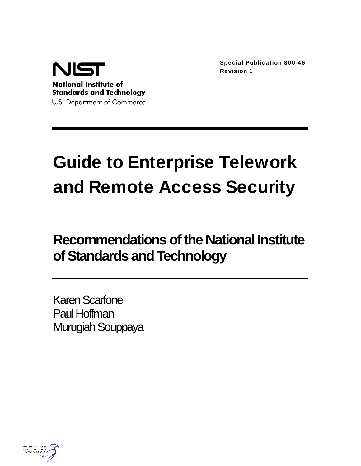

Special Publication 800-46 Revision 1

# Guide to Enterprise Telework and Remote Access Security

# **Recommendations of the National Institute of Standards and Technology**

Karen Scarfone Paul Hoffman Murugiah Souppaya

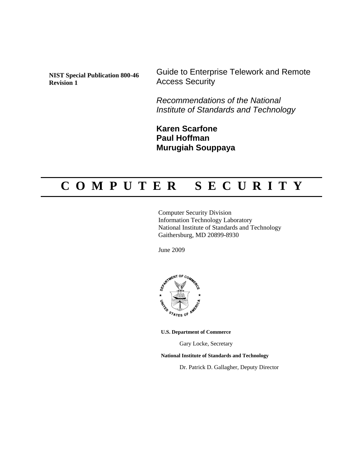**NIST Special Publication 800-46 Revision 1** 

Guide to Enterprise Telework and Remote Access Security

*Recommendations of the National Institute of Standards and Technology* 

**Karen Scarfone Paul Hoffman Murugiah Souppaya** 

# **C O M P U T E R S E C U R I T Y**

Computer Security Division Information Technology Laboratory National Institute of Standards and Technology Gaithersburg, MD 20899-8930

June 2009



**U.S. Department of Commerce** 

Gary Locke, Secretary

**National Institute of Standards and Technology**

Dr. Patrick D. Gallagher, Deputy Director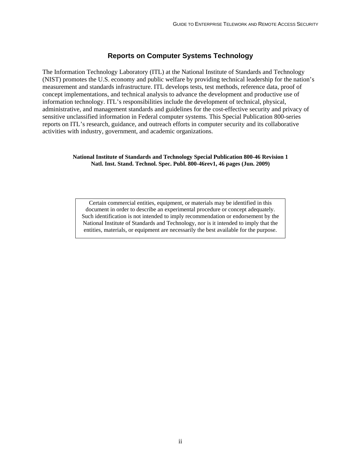#### **Reports on Computer Systems Technology**

The Information Technology Laboratory (ITL) at the National Institute of Standards and Technology (NIST) promotes the U.S. economy and public welfare by providing technical leadership for the nation's measurement and standards infrastructure. ITL develops tests, test methods, reference data, proof of concept implementations, and technical analysis to advance the development and productive use of information technology. ITL's responsibilities include the development of technical, physical, administrative, and management standards and guidelines for the cost-effective security and privacy of sensitive unclassified information in Federal computer systems. This Special Publication 800-series reports on ITL's research, guidance, and outreach efforts in computer security and its collaborative activities with industry, government, and academic organizations.

#### **National Institute of Standards and Technology Special Publication 800-46 Revision 1 Natl. Inst. Stand. Technol. Spec. Publ. 800-46rev1, 46 pages (Jun. 2009)**

Certain commercial entities, equipment, or materials may be identified in this document in order to describe an experimental procedure or concept adequately. Such identification is not intended to imply recommendation or endorsement by the National Institute of Standards and Technology, nor is it intended to imply that the entities, materials, or equipment are necessarily the best available for the purpose.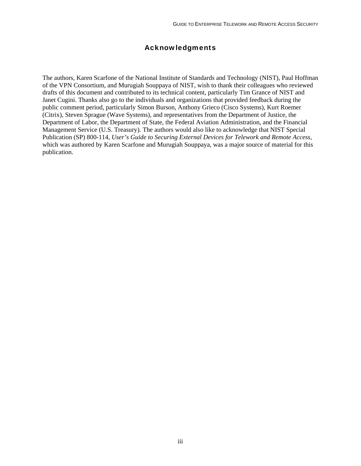#### Acknowledgments

The authors, Karen Scarfone of the National Institute of Standards and Technology (NIST), Paul Hoffman of the VPN Consortium, and Murugiah Souppaya of NIST, wish to thank their colleagues who reviewed drafts of this document and contributed to its technical content, particularly Tim Grance of NIST and Janet Cugini. Thanks also go to the individuals and organizations that provided feedback during the public comment period, particularly Simon Burson, Anthony Grieco (Cisco Systems), Kurt Roemer (Citrix), Steven Sprague (Wave Systems), and representatives from the Department of Justice, the Department of Labor, the Department of State, the Federal Aviation Administration, and the Financial Management Service (U.S. Treasury). The authors would also like to acknowledge that NIST Special Publication (SP) 800-114, *User's Guide to Securing External Devices for Telework and Remote Access*, which was authored by Karen Scarfone and Murugiah Souppaya, was a major source of material for this publication.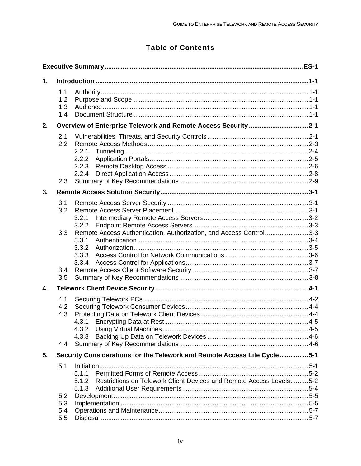# **Table of Contents**

| 1. |                          |                                                                                                        |  |  |
|----|--------------------------|--------------------------------------------------------------------------------------------------------|--|--|
|    | 1.1<br>1.2<br>1.3<br>1.4 |                                                                                                        |  |  |
| 2. |                          | Overview of Enterprise Telework and Remote Access Security 2-1                                         |  |  |
|    | 2.1<br>2.2<br>2.3        | 2.2.1<br>2.2.2<br>2.2.3<br>2.2.4                                                                       |  |  |
| 3. |                          |                                                                                                        |  |  |
|    | 3.1<br>3.2               | 3.2.1<br>3.2.2                                                                                         |  |  |
|    | 3.3<br>3.4<br>3.5        | Remote Access Authentication, Authorization, and Access Control3-3<br>3.3.1<br>3.3.2<br>3.3.3<br>3.3.4 |  |  |
| 4. |                          |                                                                                                        |  |  |
|    | 4.1<br>4.2<br>4.3        | 4.3.3                                                                                                  |  |  |
|    | 4.4                      |                                                                                                        |  |  |
| 5. |                          | Security Considerations for the Telework and Remote Access Life Cycle5-1                               |  |  |
|    | 5.1                      | 5.1.1<br>Restrictions on Telework Client Devices and Remote Access Levels5-2<br>5.1.2<br>5.1.3         |  |  |
|    | 5.2                      |                                                                                                        |  |  |
|    | 5.3<br>5.4               |                                                                                                        |  |  |
|    | 5.5                      |                                                                                                        |  |  |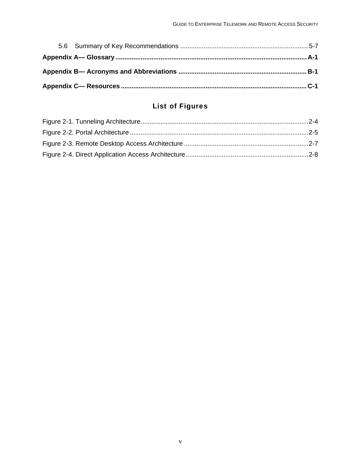# List of Figures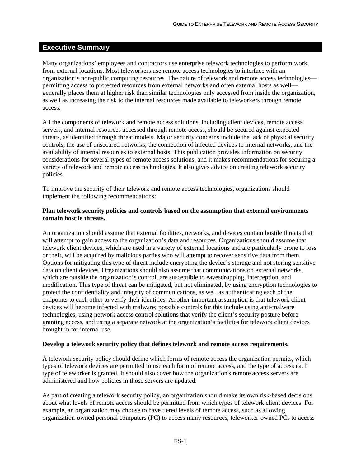#### <span id="page-6-0"></span>**Executive Summary**

Many organizations' employees and contractors use enterprise telework technologies to perform work from external locations. Most teleworkers use remote access technologies to interface with an organization's non-public computing resources. The nature of telework and remote access technologies permitting access to protected resources from external networks and often external hosts as well generally places them at higher risk than similar technologies only accessed from inside the organization, as well as increasing the risk to the internal resources made available to teleworkers through remote access.

All the components of telework and remote access solutions, including client devices, remote access servers, and internal resources accessed through remote access, should be secured against expected threats, as identified through threat models. Major security concerns include the lack of physical security controls, the use of unsecured networks, the connection of infected devices to internal networks, and the availability of internal resources to external hosts. This publication provides information on security considerations for several types of remote access solutions, and it makes recommendations for securing a variety of telework and remote access technologies. It also gives advice on creating telework security policies.

To improve the security of their telework and remote access technologies, organizations should implement the following recommendations:

#### **Plan telework security policies and controls based on the assumption that external environments contain hostile threats.**

An organization should assume that external facilities, networks, and devices contain hostile threats that will attempt to gain access to the organization's data and resources. Organizations should assume that telework client devices, which are used in a variety of external locations and are particularly prone to loss or theft, will be acquired by malicious parties who will attempt to recover sensitive data from them. Options for mitigating this type of threat include encrypting the device's storage and not storing sensitive data on client devices. Organizations should also assume that communications on external networks, which are outside the organization's control, are susceptible to eavesdropping, interception, and modification. This type of threat can be mitigated, but not eliminated, by using encryption technologies to protect the confidentiality and integrity of communications, as well as authenticating each of the endpoints to each other to verify their identities. Another important assumption is that telework client devices will become infected with malware; possible controls for this include using anti-malware technologies, using network access control solutions that verify the client's security posture before granting access, and using a separate network at the organization's facilities for telework client devices brought in for internal use.

#### **Develop a telework security policy that defines telework and remote access requirements.**

A telework security policy should define which forms of remote access the organization permits, which types of telework devices are permitted to use each form of remote access, and the type of access each type of teleworker is granted. It should also cover how the organization's remote access servers are administered and how policies in those servers are updated.

As part of creating a telework security policy, an organization should make its own risk-based decisions about what levels of remote access should be permitted from which types of telework client devices. For example, an organization may choose to have tiered levels of remote access, such as allowing organization-owned personal computers (PC) to access many resources, teleworker-owned PCs to access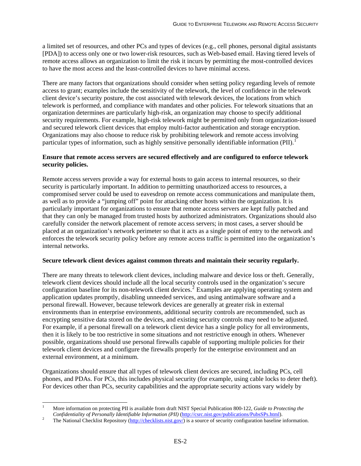a limited set of resources, and other PCs and types of devices (e.g., cell phones, personal digital assistants [PDA]) to access only one or two lower-risk resources, such as Web-based email. Having tiered levels of remote access allows an organization to limit the risk it incurs by permitting the most-controlled devices to have the most access and the least-controlled devices to have minimal access.

There are many factors that organizations should consider when setting policy regarding levels of remote access to grant; examples include the sensitivity of the telework, the level of confidence in the telework client device's security posture, the cost associated with telework devices, the locations from which telework is performed, and compliance with mandates and other policies. For telework situations that an organization determines are particularly high-risk, an organization may choose to specify additional security requirements. For example, high-risk telework might be permitted only from organization-issued and secured telework client devices that employ multi-factor authentication and storage encryption. Organizations may also choose to reduce risk by prohibiting telework and remote access involving particular types of information, such as highly sensitive personally identifiable information (PII).<sup>[1](#page-7-0)</sup>

#### **Ensure that remote access servers are secured effectively and are configured to enforce telework security policies.**

Remote access servers provide a way for external hosts to gain access to internal resources, so their security is particularly important. In addition to permitting unauthorized access to resources, a compromised server could be used to eavesdrop on remote access communications and manipulate them, as well as to provide a "jumping off" point for attacking other hosts within the organization. It is particularly important for organizations to ensure that remote access servers are kept fully patched and that they can only be managed from trusted hosts by authorized administrators. Organizations should also carefully consider the network placement of remote access servers; in most cases, a server should be placed at an organization's network perimeter so that it acts as a single point of entry to the network and enforces the telework security policy before any remote access traffic is permitted into the organization's internal networks.

#### **Secure telework client devices against common threats and maintain their security regularly.**

There are many threats to telework client devices, including malware and device loss or theft. Generally, telework client devices should include all the local security controls used in the organization's secure configuration baseline for its non-telework client devices.<sup>[2](#page-7-1)</sup> Examples are applying operating system and application updates promptly, disabling unneeded services, and using antimalware software and a personal firewall. However, because telework devices are generally at greater risk in external environments than in enterprise environments, additional security controls are recommended, such as encrypting sensitive data stored on the devices, and existing security controls may need to be adjusted. For example, if a personal firewall on a telework client device has a single policy for all environments, then it is likely to be too restrictive in some situations and not restrictive enough in others. Whenever possible, organizations should use personal firewalls capable of supporting multiple policies for their telework client devices and configure the firewalls properly for the enterprise environment and an external environment, at a minimum.

Organizations should ensure that all types of telework client devices are secured, including PCs, cell phones, and PDAs. For PCs, this includes physical security (for example, using cable locks to deter theft). For devices other than PCs, security capabilities and the appropriate security actions vary widely by

<span id="page-7-0"></span>l 1 More information on protecting PII is available from draft NIST Special Publication 800-122, *Guide to Protecting the Confidentiality of Personally Identifiable Information (PII)* [\(http://csrc.nist.gov/publications/PubsSPs.html](http://csrc.nist.gov/publications/PubsSPs.html)).

<span id="page-7-1"></span>The National Checklist Repository [\(http://checklists.nist.gov/\)](http://checklists.nist.gov/) is a source of security configuration baseline information.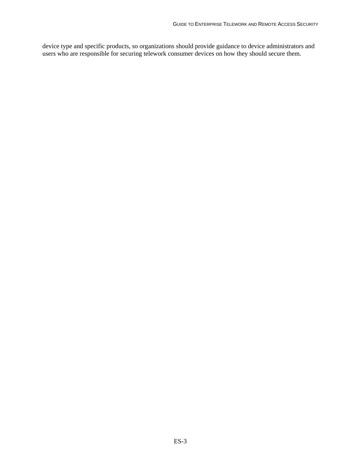device type and specific products, so organizations should provide guidance to device administrators and users who are responsible for securing telework consumer devices on how they should secure them.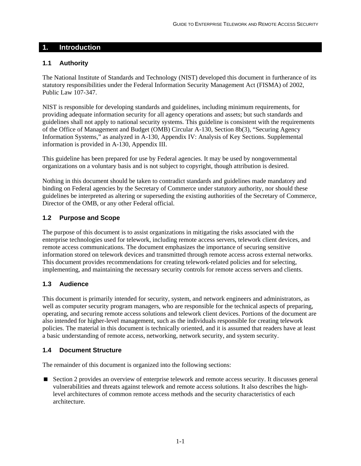#### <span id="page-9-0"></span>**1. Introduction**

#### **1.1 Authority**

The National Institute of Standards and Technology (NIST) developed this document in furtherance of its statutory responsibilities under the Federal Information Security Management Act (FISMA) of 2002, Public Law 107-347.

NIST is responsible for developing standards and guidelines, including minimum requirements, for providing adequate information security for all agency operations and assets; but such standards and guidelines shall not apply to national security systems. This guideline is consistent with the requirements of the Office of Management and Budget (OMB) Circular A-130, Section 8b(3), "Securing Agency Information Systems," as analyzed in A-130, Appendix IV: Analysis of Key Sections. Supplemental information is provided in A-130, Appendix III.

This guideline has been prepared for use by Federal agencies. It may be used by nongovernmental organizations on a voluntary basis and is not subject to copyright, though attribution is desired.

Nothing in this document should be taken to contradict standards and guidelines made mandatory and binding on Federal agencies by the Secretary of Commerce under statutory authority, nor should these guidelines be interpreted as altering or superseding the existing authorities of the Secretary of Commerce, Director of the OMB, or any other Federal official.

#### **1.2 Purpose and Scope**

The purpose of this document is to assist organizations in mitigating the risks associated with the enterprise technologies used for telework, including remote access servers, telework client devices, and remote access communications. The document emphasizes the importance of securing sensitive information stored on telework devices and transmitted through remote access across external networks. This document provides recommendations for creating telework-related policies and for selecting, implementing, and maintaining the necessary security controls for remote access servers and clients.

#### **1.3 Audience**

This document is primarily intended for security, system, and network engineers and administrators, as well as computer security program managers, who are responsible for the technical aspects of preparing, operating, and securing remote access solutions and telework client devices. Portions of the document are also intended for higher-level management, such as the individuals responsible for creating telework policies. The material in this document is technically oriented, and it is assumed that readers have at least a basic understanding of remote access, networking, network security, and system security.

#### **1.4 Document Structure**

The remainder of this document is organized into the following sections:

■ Section 2 provides an overview of enterprise telework and remote access security. It discusses general vulnerabilities and threats against telework and remote access solutions. It also describes the highlevel architectures of common remote access methods and the security characteristics of each architecture.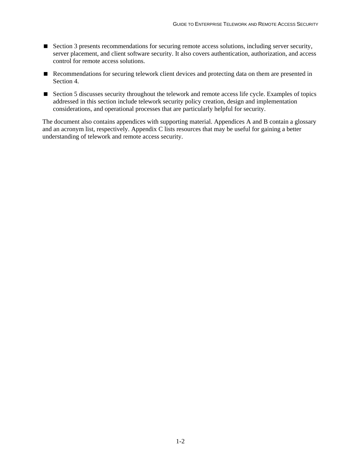- Section 3 presents recommendations for securing remote access solutions, including server security, server placement, and client software security. It also covers authentication, authorization, and access control for remote access solutions.
- Recommendations for securing telework client devices and protecting data on them are presented in Section 4.
- Section 5 discusses security throughout the telework and remote access life cycle. Examples of topics addressed in this section include telework security policy creation, design and implementation considerations, and operational processes that are particularly helpful for security.

The document also contains appendices with supporting material. Appendices A and B contain a glossary and an acronym list, respectively. Appendix C lists resources that may be useful for gaining a better understanding of telework and remote access security.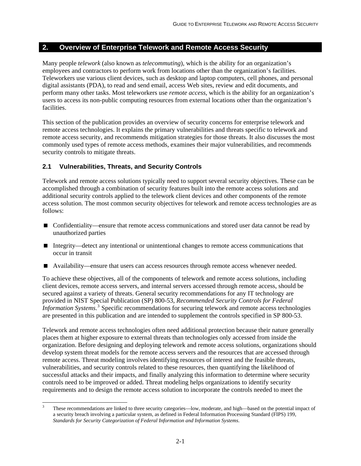#### <span id="page-11-0"></span>**2. Overview of Enterprise Telework and Remote Access Security**

Many people *telework* (also known as *telecommuting*), which is the ability for an organization's employees and contractors to perform work from locations other than the organization's facilities. Teleworkers use various client devices, such as desktop and laptop computers, cell phones, and personal digital assistants (PDA), to read and send email, access Web sites, review and edit documents, and perform many other tasks. Most teleworkers use *remote access*, which is the ability for an organization's users to access its non-public computing resources from external locations other than the organization's facilities.

This section of the publication provides an overview of security concerns for enterprise telework and remote access technologies. It explains the primary vulnerabilities and threats specific to telework and remote access security, and recommends mitigation strategies for those threats. It also discusses the most commonly used types of remote access methods, examines their major vulnerabilities, and recommends security controls to mitigate threats.

#### **2.1 Vulnerabilities, Threats, and Security Controls**

Telework and remote access solutions typically need to support several security objectives. These can be accomplished through a combination of security features built into the remote access solutions and additional security controls applied to the telework client devices and other components of the remote access solution. The most common security objectives for telework and remote access technologies are as follows:

- Confidentiality—ensure that remote access communications and stored user data cannot be read by unauthorized parties
- Integrity—detect any intentional or unintentional changes to remote access communications that occur in transit
- Availability—ensure that users can access resources through remote access whenever needed.

To achieve these objectives, all of the components of telework and remote access solutions, including client devices, remote access servers, and internal servers accessed through remote access, should be secured against a variety of threats. General security recommendations for any IT technology are provided in NIST Special Publication (SP) 800-53, *Recommended Security Controls for Federal Information Systems*. [3](#page-11-1) Specific recommendations for securing telework and remote access technologies are presented in this publication and are intended to supplement the controls specified in SP 800-53.

Telework and remote access technologies often need additional protection because their nature generally places them at higher exposure to external threats than technologies only accessed from inside the organization. Before designing and deploying telework and remote access solutions, organizations should develop system threat models for the remote access servers and the resources that are accessed through remote access. Threat modeling involves identifying resources of interest and the feasible threats, vulnerabilities, and security controls related to these resources, then quantifying the likelihood of successful attacks and their impacts, and finally analyzing this information to determine where security controls need to be improved or added. Threat modeling helps organizations to identify security requirements and to design the remote access solution to incorporate the controls needed to meet the

<span id="page-11-1"></span>l 3 These recommendations are linked to three security categories—low, moderate, and high—based on the potential impact of a security breach involving a particular system, as defined in Federal Information Processing Standard (FIPS) 199, *Standards for Security Categorization of Federal Information and Information Systems*.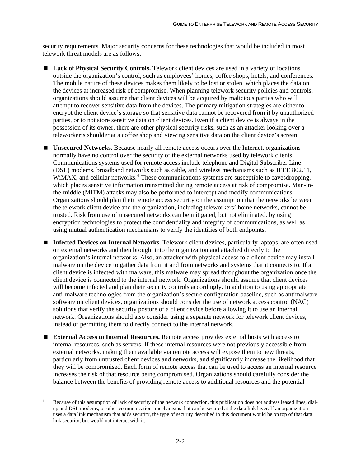security requirements. Major security concerns for these technologies that would be included in most telework threat models are as follows:

- **Lack of Physical Security Controls.** Telework client devices are used in a variety of locations outside the organization's control, such as employees' homes, coffee shops, hotels, and conferences. The mobile nature of these devices makes them likely to be lost or stolen, which places the data on the devices at increased risk of compromise. When planning telework security policies and controls, organizations should assume that client devices will be acquired by malicious parties who will attempt to recover sensitive data from the devices. The primary mitigation strategies are either to encrypt the client device's storage so that sensitive data cannot be recovered from it by unauthorized parties, or to not store sensitive data on client devices. Even if a client device is always in the possession of its owner, there are other physical security risks, such as an attacker looking over a teleworker's shoulder at a coffee shop and viewing sensitive data on the client device's screen.
- **Unsecured Networks.** Because nearly all remote access occurs over the Internet, organizations normally have no control over the security of the external networks used by telework clients. Communications systems used for remote access include telephone and Digital Subscriber Line (DSL) modems, broadband networks such as cable, and wireless mechanisms such as IEEE 802.11, WiMAX, and cellular networks.<sup>[4](#page-12-0)</sup> These communications systems are susceptible to eavesdropping, which places sensitive information transmitted during remote access at risk of compromise. Man-inthe-middle (MITM) attacks may also be performed to intercept and modify communications. Organizations should plan their remote access security on the assumption that the networks between the telework client device and the organization, including teleworkers' home networks, cannot be trusted. Risk from use of unsecured networks can be mitigated, but not eliminated, by using encryption technologies to protect the confidentiality and integrity of communications, as well as using mutual authentication mechanisms to verify the identities of both endpoints.
- Infected Devices on Internal Networks. Telework client devices, particularly laptops, are often used on external networks and then brought into the organization and attached directly to the organization's internal networks. Also, an attacker with physical access to a client device may install malware on the device to gather data from it and from networks and systems that it connects to. If a client device is infected with malware, this malware may spread throughout the organization once the client device is connected to the internal network. Organizations should assume that client devices will become infected and plan their security controls accordingly. In addition to using appropriate anti-malware technologies from the organization's secure configuration baseline, such as antimalware software on client devices, organizations should consider the use of network access control (NAC) solutions that verify the security posture of a client device before allowing it to use an internal network. Organizations should also consider using a separate network for telework client devices, instead of permitting them to directly connect to the internal network.
- External Access to Internal Resources. Remote access provides external hosts with access to internal resources, such as servers. If these internal resources were not previously accessible from external networks, making them available via remote access will expose them to new threats, particularly from untrusted client devices and networks, and significantly increase the likelihood that they will be compromised. Each form of remote access that can be used to access an internal resource increases the risk of that resource being compromised. Organizations should carefully consider the balance between the benefits of providing remote access to additional resources and the potential

l

<span id="page-12-0"></span><sup>4</sup> Because of this assumption of lack of security of the network connection, this publication does not address leased lines, dialup and DSL modems, or other communications mechanisms that can be secured at the data link layer. If an organization uses a data link mechanism that adds security, the type of security described in this document would be on top of that data link security, but would not interact with it.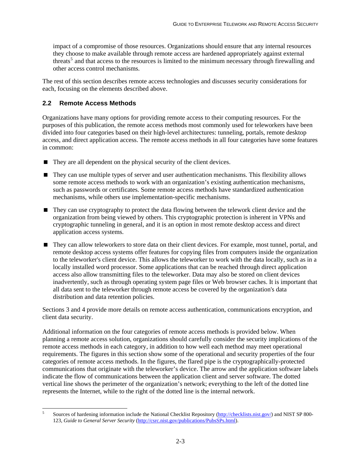<span id="page-13-0"></span>impact of a compromise of those resources. Organizations should ensure that any internal resources they choose to make available through remote access are hardened appropriately against external threats<sup>[5](#page-13-1)</sup> and that access to the resources is limited to the minimum necessary through firewalling and other access control mechanisms.

The rest of this section describes remote access technologies and discusses security considerations for each, focusing on the elements described above.

#### **2.2 Remote Access Methods**

Organizations have many options for providing remote access to their computing resources. For the purposes of this publication, the remote access methods most commonly used for teleworkers have been divided into four categories based on their high-level architectures: tunneling, portals, remote desktop access, and direct application access. The remote access methods in all four categories have some features in common:

- They are all dependent on the physical security of the client devices.
- They can use multiple types of server and user authentication mechanisms. This flexibility allows some remote access methods to work with an organization's existing authentication mechanisms, such as passwords or certificates. Some remote access methods have standardized authentication mechanisms, while others use implementation-specific mechanisms.
- **They can use cryptography to protect the data flowing between the telework client device and the** organization from being viewed by others. This cryptographic protection is inherent in VPNs and cryptographic tunneling in general, and it is an option in most remote desktop access and direct application access systems.
- They can allow teleworkers to store data on their client devices. For example, most tunnel, portal, and remote desktop access systems offer features for copying files from computers inside the organization to the teleworker's client device. This allows the teleworker to work with the data locally, such as in a locally installed word processor. Some applications that can be reached through direct application access also allow transmitting files to the teleworker. Data may also be stored on client devices inadvertently, such as through operating system page files or Web browser caches. It is important that all data sent to the teleworker through remote access be covered by the organization's data distribution and data retention policies.

Sections 3 and 4 provide more details on remote access authentication, communications encryption, and client data security.

Additional information on the four categories of remote access methods is provided below. When planning a remote access solution, organizations should carefully consider the security implications of the remote access methods in each category, in addition to how well each method may meet operational requirements. The figures in this section show some of the operational and security properties of the four categories of remote access methods. In the figures, the flared pipe is the cryptographically-protected communications that originate with the teleworker's device. The arrow and the application software labels indicate the flow of communications between the application client and server software. The dotted vertical line shows the perimeter of the organization's network; everything to the left of the dotted line represents the Internet, while to the right of the dotted line is the internal network.

<span id="page-13-1"></span>l 5 Sources of hardening information include the National Checklist Repository (<http://checklists.nist.gov/>) and NIST SP 800-123, *Guide to General Server Security* (<http://csrc.nist.gov/publications/PubsSPs.html>).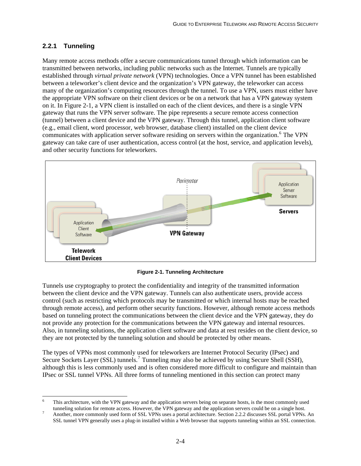#### <span id="page-14-0"></span>**2.2.1 Tunneling**

Many remote access methods offer a secure communications tunnel through which information can be transmitted between networks, including public networks such as the Internet. Tunnels are typically established through *virtual private network* (VPN) technologies. Once a VPN tunnel has been established between a teleworker's client device and the organization's VPN gateway, the teleworker can access many of the organization's computing resources through the tunnel. To use a VPN, users must either have the appropriate VPN software on their client devices or be on a network that has a VPN gateway system on it. In Figure 2-1, a VPN client is installed on each of the client devices, and there is a single VPN gateway that runs the VPN server software. The pipe represents a secure remote access connection (tunnel) between a client device and the VPN gateway. Through this tunnel, application client software (e.g., email client, word processor, web browser, database client) installed on the client device communicates with application server software residing on servers within the organization.<sup>[6](#page-14-1)</sup> The VPN gateway can take care of user authentication, access control (at the host, service, and application levels), and other security functions for teleworkers.



**Figure 2-1. Tunneling Architecture** 

Tunnels use cryptography to protect the confidentiality and integrity of the transmitted information between the client device and the VPN gateway. Tunnels can also authenticate users, provide access control (such as restricting which protocols may be transmitted or which internal hosts may be reached through remote access), and perform other security functions. However, although remote access methods based on tunneling protect the communications between the client device and the VPN gateway, they do not provide any protection for the communications between the VPN gateway and internal resources. Also, in tunneling solutions, the application client software and data at rest resides on the client device, so they are not protected by the tunneling solution and should be protected by other means.

The types of VPNs most commonly used for teleworkers are Internet Protocol Security (IPsec) and Secure Sockets Layer (SSL) tunnels.<sup>[7](#page-14-2)</sup> Tunneling may also be achieved by using Secure Shell (SSH), although this is less commonly used and is often considered more difficult to configure and maintain than IPsec or SSL tunnel VPNs. All three forms of tunneling mentioned in this section can protect many

<span id="page-14-1"></span>l 6 This architecture, with the VPN gateway and the application servers being on separate hosts, is the most commonly used tunneling solution for remote access. However, the VPN gateway and the application servers could be on a single host. 7

<span id="page-14-2"></span>Another, more commonly used form of SSL VPNs uses a portal architecture. Section 2.2.2 discusses SSL portal VPNs. An SSL tunnel VPN generally uses a plug-in installed within a Web browser that supports tunneling within an SSL connection.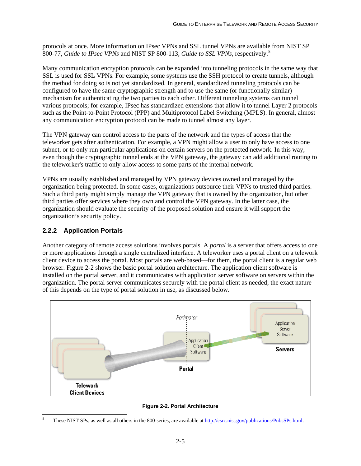<span id="page-15-0"></span>protocols at once. More information on IPsec VPNs and SSL tunnel VPNs are available from NIST SP 800-77, *Guide to IPsec VPNs* and NIST SP 800-113, *Guide to SSL VPNs*, respectively.[8](#page-15-1)

Many communication encryption protocols can be expanded into tunneling protocols in the same way that SSL is used for SSL VPNs. For example, some systems use the SSH protocol to create tunnels, although the method for doing so is not yet standardized. In general, standardized tunneling protocols can be configured to have the same cryptographic strength and to use the same (or functionally similar) mechanism for authenticating the two parties to each other. Different tunneling systems can tunnel various protocols; for example, IPsec has standardized extensions that allow it to tunnel Layer 2 protocols such as the Point-to-Point Protocol (PPP) and Multiprotocol Label Switching (MPLS). In general, almost any communication encryption protocol can be made to tunnel almost any layer.

The VPN gateway can control access to the parts of the network and the types of access that the teleworker gets after authentication. For example, a VPN might allow a user to only have access to one subnet, or to only run particular applications on certain servers on the protected network. In this way, even though the cryptographic tunnel ends at the VPN gateway, the gateway can add additional routing to the teleworker's traffic to only allow access to some parts of the internal network.

VPNs are usually established and managed by VPN gateway devices owned and managed by the organization being protected. In some cases, organizations outsource their VPNs to trusted third parties. Such a third party might simply manage the VPN gateway that is owned by the organization, but other third parties offer services where they own and control the VPN gateway. In the latter case, the organization should evaluate the security of the proposed solution and ensure it will support the organization's security policy.

#### **2.2.2 Application Portals**

Another category of remote access solutions involves portals. A *portal* is a server that offers access to one or more applications through a single centralized interface. A teleworker uses a portal client on a telework client device to access the portal. Most portals are web-based—for them, the portal client is a regular web browser. Figure 2-2 shows the basic portal solution architecture. The application client software is installed on the portal server, and it communicates with application server software on servers within the organization. The portal server communicates securely with the portal client as needed; the exact nature of this depends on the type of portal solution in use, as discussed below.



**Figure 2-2. Portal Architecture** 

<span id="page-15-1"></span>l 8 These NIST SPs, as well as all others in the 800-series, are available at<http://csrc.nist.gov/publications/PubsSPs.html>.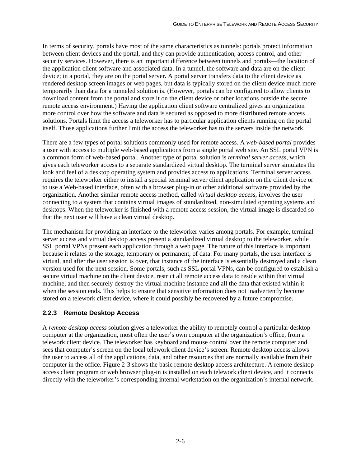<span id="page-16-0"></span>In terms of security, portals have most of the same characteristics as tunnels: portals protect information between client devices and the portal, and they can provide authentication, access control, and other security services. However, there is an important difference between tunnels and portals—the location of the application client software and associated data. In a tunnel, the software and data are on the client device; in a portal, they are on the portal server. A portal server transfers data to the client device as rendered desktop screen images or web pages, but data is typically stored on the client device much more temporarily than data for a tunneled solution is. (However, portals can be configured to allow clients to download content from the portal and store it on the client device or other locations outside the secure remote access environment.) Having the application client software centralized gives an organization more control over how the software and data is secured as opposed to more distributed remote access solutions. Portals limit the access a teleworker has to particular application clients running on the portal itself. Those applications further limit the access the teleworker has to the servers inside the network.

There are a few types of portal solutions commonly used for remote access. A *web-based portal* provides a user with access to multiple web-based applications from a single portal web site. An SSL portal VPN is a common form of web-based portal. Another type of portal solution is *terminal server access*, which gives each teleworker access to a separate standardized virtual desktop. The terminal server simulates the look and feel of a desktop operating system and provides access to applications. Terminal server access requires the teleworker either to install a special terminal server client application on the client device or to use a Web-based interface, often with a browser plug-in or other additional software provided by the organization. Another similar remote access method, called *virtual desktop access*, involves the user connecting to a system that contains virtual images of standardized, non-simulated operating systems and desktops. When the teleworker is finished with a remote access session, the virtual image is discarded so that the next user will have a clean virtual desktop.

The mechanism for providing an interface to the teleworker varies among portals. For example, terminal server access and virtual desktop access present a standardized virtual desktop to the teleworker, while SSL portal VPNs present each application through a web page. The nature of this interface is important because it relates to the storage, temporary or permanent, of data. For many portals, the user interface is virtual, and after the user session is over, that instance of the interface is essentially destroyed and a clean version used for the next session. Some portals, such as SSL portal VPNs, can be configured to establish a secure virtual machine on the client device, restrict all remote access data to reside within that virtual machine, and then securely destroy the virtual machine instance and all the data that existed within it when the session ends. This helps to ensure that sensitive information does not inadvertently become stored on a telework client device, where it could possibly be recovered by a future compromise.

#### **2.2.3 Remote Desktop Access**

A *remote desktop access* solution gives a teleworker the ability to remotely control a particular desktop computer at the organization, most often the user's own computer at the organization's office, from a telework client device. The teleworker has keyboard and mouse control over the remote computer and sees that computer's screen on the local telework client device's screen. Remote desktop access allows the user to access all of the applications, data, and other resources that are normally available from their computer in the office. Figure 2-3 shows the basic remote desktop access architecture. A remote desktop access client program or web browser plug-in is installed on each telework client device, and it connects directly with the teleworker's corresponding internal workstation on the organization's internal network.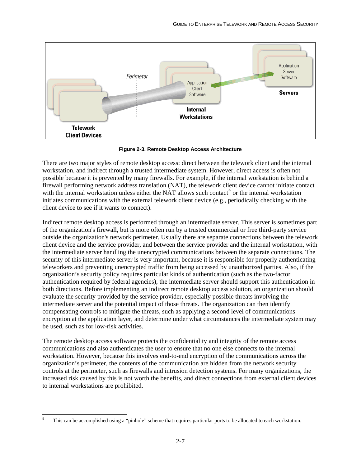<span id="page-17-0"></span>

**Figure 2-3. Remote Desktop Access Architecture** 

There are two major styles of remote desktop access: direct between the telework client and the internal workstation, and indirect through a trusted intermediate system. However, direct access is often not possible because it is prevented by many firewalls. For example, if the internal workstation is behind a firewall performing network address translation (NAT), the telework client device cannot initiate contact with the internal workstation unless either the NAT allows such contact<sup>[9](#page-17-1)</sup> or the internal workstation initiates communications with the external telework client device (e.g., periodically checking with the client device to see if it wants to connect).

Indirect remote desktop access is performed through an intermediate server. This server is sometimes part of the organization's firewall, but is more often run by a trusted commercial or free third-party service outside the organization's network perimeter. Usually there are separate connections between the telework client device and the service provider, and between the service provider and the internal workstation, with the intermediate server handling the unencrypted communications between the separate connections. The security of this intermediate server is very important, because it is responsible for properly authenticating teleworkers and preventing unencrypted traffic from being accessed by unauthorized parties. Also, if the organization's security policy requires particular kinds of authentication (such as the two-factor authentication required by federal agencies), the intermediate server should support this authentication in both directions. Before implementing an indirect remote desktop access solution, an organization should evaluate the security provided by the service provider, especially possible threats involving the intermediate server and the potential impact of those threats. The organization can then identify compensating controls to mitigate the threats, such as applying a second level of communications encryption at the application layer, and determine under what circumstances the intermediate system may be used, such as for low-risk activities.

The remote desktop access software protects the confidentiality and integrity of the remote access communications and also authenticates the user to ensure that no one else connects to the internal workstation. However, because this involves end-to-end encryption of the communications across the organization's perimeter, the contents of the communication are hidden from the network security controls at the perimeter, such as firewalls and intrusion detection systems. For many organizations, the increased risk caused by this is not worth the benefits, and direct connections from external client devices to internal workstations are prohibited.

<span id="page-17-1"></span><sup>1</sup> 9 This can be accomplished using a "pinhole" scheme that requires particular ports to be allocated to each workstation.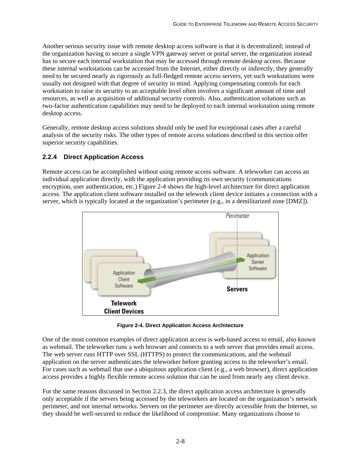<span id="page-18-0"></span>Another serious security issue with remote desktop access software is that it is decentralized; instead of the organization having to secure a single VPN gateway server or portal server, the organization instead has to secure each internal workstation that may be accessed through remote desktop access. Because these internal workstations can be accessed from the Internet, either directly or indirectly, they generally need to be secured nearly as rigorously as full-fledged remote access servers, yet such workstations were usually not designed with that degree of security in mind. Applying compensating controls for each workstation to raise its security to an acceptable level often involves a significant amount of time and resources, as well as acquisition of additional security controls. Also, authentication solutions such as two-factor authentication capabilities may need to be deployed to each internal workstation using remote desktop access.

Generally, remote desktop access solutions should only be used for exceptional cases after a careful analysis of the security risks. The other types of remote access solutions described in this section offer superior security capabilities.

#### **2.2.4 Direct Application Access**

Remote access can be accomplished without using remote access software. A teleworker can access an individual application directly, with the application providing its own security (communications encryption, user authentication, etc.) Figure 2-4 shows the high-level architecture for direct application access. The application client software installed on the telework client device initiates a connection with a server, which is typically located at the organization's perimeter (e.g., in a demilitarized zone [DMZ]).



**Figure 2-4. Direct Application Access Architecture** 

One of the most common examples of direct application access is web-based access to email, also known as webmail. The teleworker runs a web browser and connects to a web server that provides email access. The web server runs HTTP over SSL (HTTPS) to protect the communications, and the webmail application on the server authenticates the teleworker before granting access to the teleworker's email. For cases such as webmail that use a ubiquitous application client (e.g., a web browser), direct application access provides a highly flexible remote access solution that can be used from nearly any client device.

For the same reasons discussed in Section 2.2.3, the direct application access architecture is generally only acceptable if the servers being accessed by the teleworkers are located on the organization's network perimeter, and not internal networks. Servers on the perimeter are directly accessible from the Internet, so they should be well-secured to reduce the likelihood of compromise. Many organizations choose to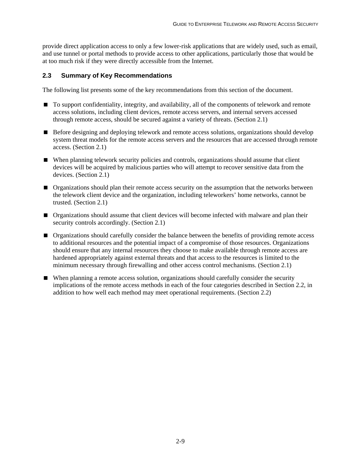<span id="page-19-0"></span>provide direct application access to only a few lower-risk applications that are widely used, such as email, and use tunnel or portal methods to provide access to other applications, particularly those that would be at too much risk if they were directly accessible from the Internet.

#### **2.3 Summary of Key Recommendations**

The following list presents some of the key recommendations from this section of the document.

- $\blacksquare$  To support confidentiality, integrity, and availability, all of the components of telework and remote access solutions, including client devices, remote access servers, and internal servers accessed through remote access, should be secured against a variety of threats. (Section 2.1)
- Before designing and deploying telework and remote access solutions, organizations should develop system threat models for the remote access servers and the resources that are accessed through remote access. (Section 2.1)
- When planning telework security policies and controls, organizations should assume that client devices will be acquired by malicious parties who will attempt to recover sensitive data from the devices. (Section 2.1)
- **Organizations should plan their remote access security on the assumption that the networks between** the telework client device and the organization, including teleworkers' home networks, cannot be trusted. (Section 2.1)
- **Organizations should assume that client devices will become infected with malware and plan their** security controls accordingly. (Section 2.1)
- **Organizations should carefully consider the balance between the benefits of providing remote access** to additional resources and the potential impact of a compromise of those resources. Organizations should ensure that any internal resources they choose to make available through remote access are hardened appropriately against external threats and that access to the resources is limited to the minimum necessary through firewalling and other access control mechanisms. (Section 2.1)
- When planning a remote access solution, organizations should carefully consider the security implications of the remote access methods in each of the four categories described in Section 2.2, in addition to how well each method may meet operational requirements. (Section 2.2)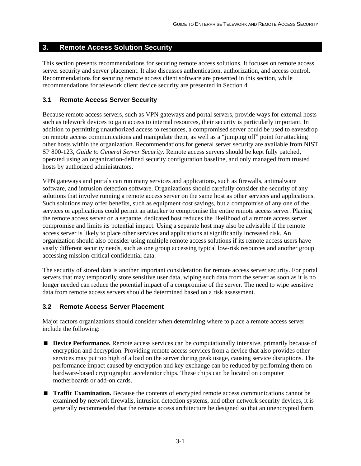#### <span id="page-20-0"></span>**3. Remote Access Solution Security**

This section presents recommendations for securing remote access solutions. It focuses on remote access server security and server placement. It also discusses authentication, authorization, and access control. Recommendations for securing remote access client software are presented in this section, while recommendations for telework client device security are presented in Section 4.

#### **3.1 Remote Access Server Security**

Because remote access servers, such as VPN gateways and portal servers, provide ways for external hosts such as telework devices to gain access to internal resources, their security is particularly important. In addition to permitting unauthorized access to resources, a compromised server could be used to eavesdrop on remote access communications and manipulate them, as well as a "jumping off" point for attacking other hosts within the organization. Recommendations for general server security are available from NIST SP 800-123, *Guide to General Server Security*. Remote access servers should be kept fully patched, operated using an organization-defined security configuration baseline, and only managed from trusted hosts by authorized administrators.

VPN gateways and portals can run many services and applications, such as firewalls, antimalware software, and intrusion detection software. Organizations should carefully consider the security of any solutions that involve running a remote access server on the same host as other services and applications. Such solutions may offer benefits, such as equipment cost savings, but a compromise of any one of the services or applications could permit an attacker to compromise the entire remote access server. Placing the remote access server on a separate, dedicated host reduces the likelihood of a remote access server compromise and limits its potential impact. Using a separate host may also be advisable if the remote access server is likely to place other services and applications at significantly increased risk. An organization should also consider using multiple remote access solutions if its remote access users have vastly different security needs, such as one group accessing typical low-risk resources and another group accessing mission-critical confidential data.

The security of stored data is another important consideration for remote access server security. For portal servers that may temporarily store sensitive user data, wiping such data from the server as soon as it is no longer needed can reduce the potential impact of a compromise of the server. The need to wipe sensitive data from remote access servers should be determined based on a risk assessment.

#### **3.2 Remote Access Server Placement**

Major factors organizations should consider when determining where to place a remote access server include the following:

- **Device Performance.** Remote access services can be computationally intensive, primarily because of encryption and decryption. Providing remote access services from a device that also provides other services may put too high of a load on the server during peak usage, causing service disruptions. The performance impact caused by encryption and key exchange can be reduced by performing them on hardware-based cryptographic accelerator chips. These chips can be located on computer motherboards or add-on cards.
- **Traffic Examination.** Because the contents of encrypted remote access communications cannot be examined by network firewalls, intrusion detection systems, and other network security devices, it is generally recommended that the remote access architecture be designed so that an unencrypted form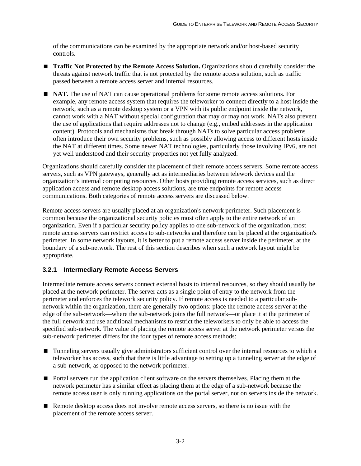<span id="page-21-0"></span>of the communications can be examined by the appropriate network and/or host-based security controls.

- **Traffic Not Protected by the Remote Access Solution.** Organizations should carefully consider the threats against network traffic that is not protected by the remote access solution, such as traffic passed between a remote access server and internal resources.
- **NAT.** The use of NAT can cause operational problems for some remote access solutions. For example, any remote access system that requires the teleworker to connect directly to a host inside the network, such as a remote desktop system or a VPN with its public endpoint inside the network, cannot work with a NAT without special configuration that may or may not work. NATs also prevent the use of applications that require addresses not to change (e.g., embed addresses in the application content). Protocols and mechanisms that break through NATs to solve particular access problems often introduce their own security problems, such as possibly allowing access to different hosts inside the NAT at different times. Some newer NAT technologies, particularly those involving IPv6, are not yet well understood and their security properties not yet fully analyzed.

Organizations should carefully consider the placement of their remote access servers. Some remote access servers, such as VPN gateways, generally act as intermediaries between telework devices and the organization's internal computing resources. Other hosts providing remote access services, such as direct application access and remote desktop access solutions, are true endpoints for remote access communications. Both categories of remote access servers are discussed below.

Remote access servers are usually placed at an organization's network perimeter. Such placement is common because the organizational security policies most often apply to the entire network of an organization. Even if a particular security policy applies to one sub-network of the organization, most remote access servers can restrict access to sub-networks and therefore can be placed at the organization's perimeter. In some network layouts, it is better to put a remote access server inside the perimeter, at the boundary of a sub-network. The rest of this section describes when such a network layout might be appropriate.

#### **3.2.1 Intermediary Remote Access Servers**

Intermediate remote access servers connect external hosts to internal resources, so they should usually be placed at the network perimeter. The server acts as a single point of entry to the network from the perimeter and enforces the telework security policy. If remote access is needed to a particular subnetwork within the organization, there are generally two options: place the remote access server at the edge of the sub-network—where the sub-network joins the full network—or place it at the perimeter of the full network and use additional mechanisms to restrict the teleworkers to only be able to access the specified sub-network. The value of placing the remote access server at the network perimeter versus the sub-network perimeter differs for the four types of remote access methods:

- **Tunneling servers usually give administrators sufficient control over the internal resources to which a** teleworker has access, such that there is little advantage to setting up a tunneling server at the edge of a sub-network, as opposed to the network perimeter.
- **Portal servers run the application client software on the servers themselves. Placing them at the** network perimeter has a similar effect as placing them at the edge of a sub-network because the remote access user is only running applications on the portal server, not on servers inside the network.
- Remote desktop access does not involve remote access servers, so there is no issue with the placement of the remote access server.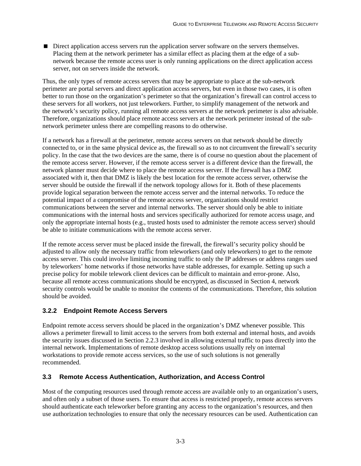<span id="page-22-0"></span>Direct application access servers run the application server software on the servers themselves. Placing them at the network perimeter has a similar effect as placing them at the edge of a subnetwork because the remote access user is only running applications on the direct application access server, not on servers inside the network.

Thus, the only types of remote access servers that may be appropriate to place at the sub-network perimeter are portal servers and direct application access servers, but even in those two cases, it is often better to run those on the organization's perimeter so that the organization's firewall can control access to these servers for all workers, not just teleworkers. Further, to simplify management of the network and the network's security policy, running all remote access servers at the network perimeter is also advisable. Therefore, organizations should place remote access servers at the network perimeter instead of the subnetwork perimeter unless there are compelling reasons to do otherwise.

If a network has a firewall at the perimeter, remote access servers on that network should be directly connected to, or in the same physical device as, the firewall so as to not circumvent the firewall's security policy. In the case that the two devices are the same, there is of course no question about the placement of the remote access server. However, if the remote access server is a different device than the firewall, the network planner must decide where to place the remote access server. If the firewall has a DMZ associated with it, then that DMZ is likely the best location for the remote access server, otherwise the server should be outside the firewall if the network topology allows for it. Both of these placements provide logical separation between the remote access server and the internal networks. To reduce the potential impact of a compromise of the remote access server, organizations should restrict communications between the server and internal networks. The server should only be able to initiate communications with the internal hosts and services specifically authorized for remote access usage, and only the appropriate internal hosts (e.g., trusted hosts used to administer the remote access server) should be able to initiate communications with the remote access server.

If the remote access server must be placed inside the firewall, the firewall's security policy should be adjusted to allow only the necessary traffic from teleworkers (and only teleworkers) to get to the remote access server. This could involve limiting incoming traffic to only the IP addresses or address ranges used by teleworkers' home networks if those networks have stable addresses, for example. Setting up such a precise policy for mobile telework client devices can be difficult to maintain and error-prone. Also, because all remote access communications should be encrypted, as discussed in Section 4, network security controls would be unable to monitor the contents of the communications. Therefore, this solution should be avoided.

#### **3.2.2 Endpoint Remote Access Servers**

Endpoint remote access servers should be placed in the organization's DMZ whenever possible. This allows a perimeter firewall to limit access to the servers from both external and internal hosts, and avoids the security issues discussed in Section 2.2.3 involved in allowing external traffic to pass directly into the internal network. Implementations of remote desktop access solutions usually rely on internal workstations to provide remote access services, so the use of such solutions is not generally recommended.

#### **3.3 Remote Access Authentication, Authorization, and Access Control**

Most of the computing resources used through remote access are available only to an organization's users, and often only a subset of those users. To ensure that access is restricted properly, remote access servers should authenticate each teleworker before granting any access to the organization's resources, and then use authorization technologies to ensure that only the necessary resources can be used. Authentication can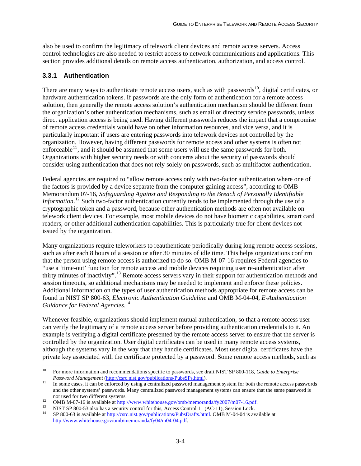<span id="page-23-0"></span>also be used to confirm the legitimacy of telework client devices and remote access servers. Access control technologies are also needed to restrict access to network communications and applications. This section provides additional details on remote access authentication, authorization, and access control.

#### **3.3.1 Authentication**

There are many ways to authenticate remote access users, such as with passwords<sup>[10](#page-23-1)</sup>, digital certificates, or hardware authentication tokens. If passwords are the only form of authentication for a remote access solution, then generally the remote access solution's authentication mechanism should be different from the organization's other authentication mechanisms, such as email or directory service passwords, unless direct application access is being used. Having different passwords reduces the impact that a compromise of remote access credentials would have on other information resources, and vice versa, and it is particularly important if users are entering passwords into telework devices not controlled by the organization. However, having different passwords for remote access and other systems is often not enforceable<sup>[11](#page-23-2)</sup>, and it should be assumed that some users will use the same passwords for both. Organizations with higher security needs or with concerns about the security of passwords should consider using authentication that does not rely solely on passwords, such as multifactor authentication.

Federal agencies are required to "allow remote access only with two-factor authentication where one of the factors is provided by a device separate from the computer gaining access", according to OMB Memorandum 07-16, *Safeguarding Against and Responding to the Breach of Personally Identifiable Information*. [12](#page-23-3) Such two-factor authentication currently tends to be implemented through the use of a cryptographic token and a password, because other authentication methods are often not available on telework client devices. For example, most mobile devices do not have biometric capabilities, smart card readers, or other additional authentication capabilities. This is particularly true for client devices not issued by the organization.

Many organizations require teleworkers to reauthenticate periodically during long remote access sessions, such as after each 8 hours of a session or after 30 minutes of idle time. This helps organizations confirm that the person using remote access is authorized to do so. OMB M-07-16 requires Federal agencies to "use a 'time-out' function for remote access and mobile devices requiring user re-authentication after thirty minutes of inactivity".[13](#page-23-4) Remote access servers vary in their support for authentication methods and session timeouts, so additional mechanisms may be needed to implement and enforce these policies. Additional information on the types of user authentication methods appropriate for remote access can be found in NIST SP 800-63, *Electronic Authentication Guideline* and OMB M-04-04, *E-Authentication Guidance for Federal Agencies*. [14](#page-23-5)

Whenever feasible, organizations should implement mutual authentication, so that a remote access user can verify the legitimacy of a remote access server before providing authentication credentials to it. An example is verifying a digital certificate presented by the remote access server to ensure that the server is controlled by the organization. User digital certificates can be used in many remote access systems, although the systems vary in the way that they handle certificates. Most user digital certificates have the private key associated with the certificate protected by a password. Some remote access methods, such as

<span id="page-23-1"></span><sup>1</sup> 10 For more information and recommendations specific to passwords, see draft NIST SP 800-118, *Guide to Enterprise* 

<span id="page-23-2"></span><sup>&</sup>lt;sup>11</sup> In some cases, it can be enforced by using a centralized password management system for both the remote access passwords and the other systems' passwords. Many centralized password management systems can ensure that the same password is

<span id="page-23-3"></span>not used for two different systems.<br>
<sup>12</sup> OMB M-07-16 is available at <u><http://www.whitehouse.gov/omb/memoranda/fy2007/m07-16.pdf></u>.<br>
NIST SP 800-53 also has a security control for this, Access Control 11 (AC-11), Session Lo

<span id="page-23-4"></span>

<span id="page-23-5"></span><sup>14</sup> SP 800-63 is available at <http://csrc.nist.gov/publications/PubsDrafts.html>. OMB M-04-04 is available at <http://www.whitehouse.gov/omb/memoranda/fy04/m04-04.pdf>.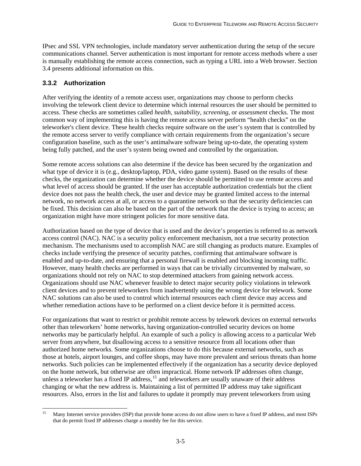<span id="page-24-0"></span>IPsec and SSL VPN technologies, include mandatory server authentication during the setup of the secure communications channel. Server authentication is most important for remote access methods where a user is manually establishing the remote access connection, such as typing a URL into a Web browser. Section 3.4 presents additional information on this.

#### **3.3.2 Authorization**

After verifying the identity of a remote access user, organizations may choose to perform checks involving the telework client device to determine which internal resources the user should be permitted to access. These checks are sometimes called *health, suitability*, *screening*, or *assessment* checks. The most common way of implementing this is having the remote access server perform "health checks" on the teleworker's client device. These health checks require software on the user's system that is controlled by the remote access server to verify compliance with certain requirements from the organization's secure configuration baseline, such as the user's antimalware software being up-to-date, the operating system being fully patched, and the user's system being owned and controlled by the organization.

Some remote access solutions can also determine if the device has been secured by the organization and what type of device it is (e.g., desktop/laptop, PDA, video game system). Based on the results of these checks, the organization can determine whether the device should be permitted to use remote access and what level of access should be granted. If the user has acceptable authorization credentials but the client device does not pass the health check, the user and device may be granted limited access to the internal network, no network access at all, or access to a quarantine network so that the security deficiencies can be fixed. This decision can also be based on the part of the network that the device is trying to access; an organization might have more stringent policies for more sensitive data.

Authorization based on the type of device that is used and the device's properties is referred to as network access control (NAC). NAC is a security policy enforcement mechanism, not a true security protection mechanism. The mechanisms used to accomplish NAC are still changing as products mature. Examples of checks include verifying the presence of security patches, confirming that antimalware software is enabled and up-to-date, and ensuring that a personal firewall is enabled and blocking incoming traffic. However, many health checks are performed in ways that can be trivially circumvented by malware, so organizations should not rely on NAC to stop determined attackers from gaining network access. Organizations should use NAC whenever feasible to detect major security policy violations in telework client devices and to prevent teleworkers from inadvertently using the wrong device for telework. Some NAC solutions can also be used to control which internal resources each client device may access and whether remediation actions have to be performed on a client device before it is permitted access.

For organizations that want to restrict or prohibit remote access by telework devices on external networks other than teleworkers' home networks, having organization-controlled security devices on home networks may be particularly helpful. An example of such a policy is allowing access to a particular Web server from anywhere, but disallowing access to a sensitive resource from all locations other than authorized home networks. Some organizations choose to do this because external networks, such as those at hotels, airport lounges, and coffee shops, may have more prevalent and serious threats than home networks. Such policies can be implemented effectively if the organization has a security device deployed on the home network, but otherwise are often impractical. Home network IP addresses often change, unless a teleworker has a fixed IP address,<sup>[15](#page-24-1)</sup> and teleworkers are usually unaware of their address changing or what the new address is. Maintaining a list of permitted IP address may take significant resources. Also, errors in the list and failures to update it promptly may prevent teleworkers from using

<span id="page-24-1"></span><sup>15</sup> 15 Many Internet service providers (ISP) that provide home access do not allow users to have a fixed IP address, and most ISPs that do permit fixed IP addresses charge a monthly fee for this service.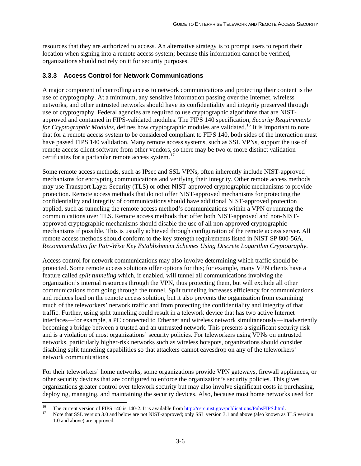<span id="page-25-0"></span>resources that they are authorized to access. An alternative strategy is to prompt users to report their location when signing into a remote access system; because this information cannot be verified, organizations should not rely on it for security purposes.

#### **3.3.3 Access Control for Network Communications**

A major component of controlling access to network communications and protecting their content is the use of cryptography. At a minimum, any sensitive information passing over the Internet, wireless networks, and other untrusted networks should have its confidentiality and integrity preserved through use of cryptography. Federal agencies are required to use cryptographic algorithms that are NISTapproved and contained in FIPS-validated modules. The FIPS 140 specification, *Security Requirements for Cryptographic Modules*, defines how cryptographic modules are validated.<sup>[16](#page-25-1)</sup> It is important to note that for a remote access system to be considered compliant to FIPS 140, both sides of the interaction must have passed FIPS 140 validation. Many remote access systems, such as SSL VPNs, support the use of remote access client software from other vendors, so there may be two or more distinct validation certificates for a particular remote access system.<sup>[17](#page-25-2)</sup>

Some remote access methods, such as IPsec and SSL VPNs, often inherently include NIST-approved mechanisms for encrypting communications and verifying their integrity. Other remote access methods may use Transport Layer Security (TLS) or other NIST-approved cryptographic mechanisms to provide protection. Remote access methods that do not offer NIST-approved mechanisms for protecting the confidentiality and integrity of communications should have additional NIST-approved protection applied, such as tunneling the remote access method's communications within a VPN or running the communications over TLS. Remote access methods that offer both NIST-approved and non-NISTapproved cryptographic mechanisms should disable the use of all non-approved cryptographic mechanisms if possible. This is usually achieved through configuration of the remote access server. All remote access methods should conform to the key strength requirements listed in NIST SP 800-56A, *Recommendation for Pair-Wise Key Establishment Schemes Using Discrete Logarithm Cryptography*.

Access control for network communications may also involve determining which traffic should be protected. Some remote access solutions offer options for this; for example, many VPN clients have a feature called *split tunneling* which, if enabled, will tunnel all communications involving the organization's internal resources through the VPN, thus protecting them, but will exclude all other communications from going through the tunnel. Split tunneling increases efficiency for communications and reduces load on the remote access solution, but it also prevents the organization from examining much of the teleworkers' network traffic and from protecting the confidentiality and integrity of that traffic. Further, using split tunneling could result in a telework device that has two active Internet interfaces—for example, a PC connected to Ethernet and wireless network simultaneously—inadvertently becoming a bridge between a trusted and an untrusted network. This presents a significant security risk and is a violation of most organizations' security policies. For teleworkers using VPNs on untrusted networks, particularly higher-risk networks such as wireless hotspots, organizations should consider disabling split tunneling capabilities so that attackers cannot eavesdrop on any of the teleworkers' network communications.

For their teleworkers' home networks, some organizations provide VPN gateways, firewall appliances, or other security devices that are configured to enforce the organization's security policies. This gives organizations greater control over telework security but may also involve significant costs in purchasing, deploying, managing, and maintaining the security devices. Also, because most home networks used for

-

<span id="page-25-2"></span><span id="page-25-1"></span><sup>&</sup>lt;sup>16</sup> The current version of FIPS 140 is 140-2. It is available from  $\frac{http://csrc.nist.gov/publications/PubsFIPS.html}{http://csrc.nist.gov/publications/PubsFIPS.html}$  $\frac{http://csrc.nist.gov/publications/PubsFIPS.html}{http://csrc.nist.gov/publications/PubsFIPS.html}$  $\frac{http://csrc.nist.gov/publications/PubsFIPS.html}{http://csrc.nist.gov/publications/PubsFIPS.html}$ .<br><sup>17</sup> Note that SSL version 3.0 and below are not NIST-approved; only SSL version 3.1 and above (also known as TLS

<sup>1.0</sup> and above) are approved.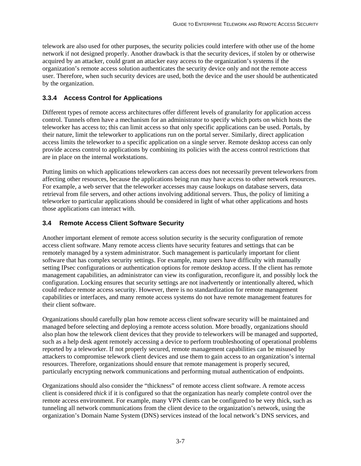<span id="page-26-0"></span>telework are also used for other purposes, the security policies could interfere with other use of the home network if not designed properly. Another drawback is that the security devices, if stolen by or otherwise acquired by an attacker, could grant an attacker easy access to the organization's systems if the organization's remote access solution authenticates the security device only and not the remote access user. Therefore, when such security devices are used, both the device and the user should be authenticated by the organization.

#### **3.3.4 Access Control for Applications**

Different types of remote access architectures offer different levels of granularity for application access control. Tunnels often have a mechanism for an administrator to specify which ports on which hosts the teleworker has access to; this can limit access so that only specific applications can be used. Portals, by their nature, limit the teleworker to applications run on the portal server. Similarly, direct application access limits the teleworker to a specific application on a single server. Remote desktop access can only provide access control to applications by combining its policies with the access control restrictions that are in place on the internal workstations.

Putting limits on which applications teleworkers can access does not necessarily prevent teleworkers from affecting other resources, because the applications being run may have access to other network resources. For example, a web server that the teleworker accesses may cause lookups on database servers, data retrieval from file servers, and other actions involving additional servers. Thus, the policy of limiting a teleworker to particular applications should be considered in light of what other applications and hosts those applications can interact with.

#### **3.4 Remote Access Client Software Security**

Another important element of remote access solution security is the security configuration of remote access client software. Many remote access clients have security features and settings that can be remotely managed by a system administrator. Such management is particularly important for client software that has complex security settings. For example, many users have difficulty with manually setting IPsec configurations or authentication options for remote desktop access. If the client has remote management capabilities, an administrator can view its configuration, reconfigure it, and possibly lock the configuration. Locking ensures that security settings are not inadvertently or intentionally altered, which could reduce remote access security. However, there is no standardization for remote management capabilities or interfaces, and many remote access systems do not have remote management features for their client software.

Organizations should carefully plan how remote access client software security will be maintained and managed before selecting and deploying a remote access solution. More broadly, organizations should also plan how the telework client devices that they provide to teleworkers will be managed and supported, such as a help desk agent remotely accessing a device to perform troubleshooting of operational problems reported by a teleworker. If not properly secured, remote management capabilities can be misused by attackers to compromise telework client devices and use them to gain access to an organization's internal resources. Therefore, organizations should ensure that remote management is properly secured, particularly encrypting network communications and performing mutual authentication of endpoints.

Organizations should also consider the "thickness" of remote access client software. A remote access client is considered *thick* if it is configured so that the organization has nearly complete control over the remote access environment. For example, many VPN clients can be configured to be very thick, such as tunneling all network communications from the client device to the organization's network, using the organization's Domain Name System (DNS) services instead of the local network's DNS services, and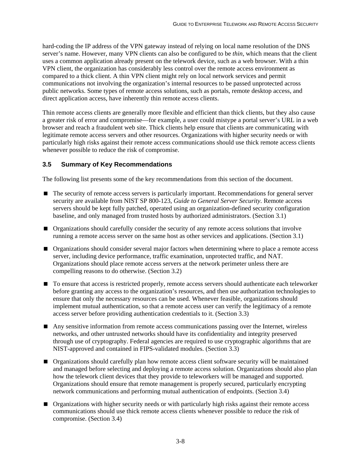<span id="page-27-0"></span>hard-coding the IP address of the VPN gateway instead of relying on local name resolution of the DNS server's name. However, many VPN clients can also be configured to be *thin*, which means that the client uses a common application already present on the telework device, such as a web browser. With a thin VPN client, the organization has considerably less control over the remote access environment as compared to a thick client. A thin VPN client might rely on local network services and permit communications not involving the organization's internal resources to be passed unprotected across public networks. Some types of remote access solutions, such as portals, remote desktop access, and direct application access, have inherently thin remote access clients.

Thin remote access clients are generally more flexible and efficient than thick clients, but they also cause a greater risk of error and compromise—for example, a user could mistype a portal server's URL in a web browser and reach a fraudulent web site. Thick clients help ensure that clients are communicating with legitimate remote access servers and other resources. Organizations with higher security needs or with particularly high risks against their remote access communications should use thick remote access clients whenever possible to reduce the risk of compromise.

#### **3.5 Summary of Key Recommendations**

The following list presents some of the key recommendations from this section of the document.

- $\blacksquare$  The security of remote access servers is particularly important. Recommendations for general server security are available from NIST SP 800-123, *Guide to General Server Security*. Remote access servers should be kept fully patched, operated using an organization-defined security configuration baseline, and only managed from trusted hosts by authorized administrators. (Section 3.1)
- Organizations should carefully consider the security of any remote access solutions that involve running a remote access server on the same host as other services and applications. (Section 3.1)
- **Organizations should consider several major factors when determining where to place a remote access** server, including device performance, traffic examination, unprotected traffic, and NAT. Organizations should place remote access servers at the network perimeter unless there are compelling reasons to do otherwise. (Section 3.2)
- $\blacksquare$  To ensure that access is restricted properly, remote access servers should authenticate each teleworker before granting any access to the organization's resources, and then use authorization technologies to ensure that only the necessary resources can be used. Whenever feasible, organizations should implement mutual authentication, so that a remote access user can verify the legitimacy of a remote access server before providing authentication credentials to it. (Section 3.3)
- Any sensitive information from remote access communications passing over the Internet, wireless networks, and other untrusted networks should have its confidentiality and integrity preserved through use of cryptography. Federal agencies are required to use cryptographic algorithms that are NIST-approved and contained in FIPS-validated modules. (Section 3.3)
- **Organizations should carefully plan how remote access client software security will be maintained** and managed before selecting and deploying a remote access solution. Organizations should also plan how the telework client devices that they provide to teleworkers will be managed and supported. Organizations should ensure that remote management is properly secured, particularly encrypting network communications and performing mutual authentication of endpoints. (Section 3.4)
- Organizations with higher security needs or with particularly high risks against their remote access communications should use thick remote access clients whenever possible to reduce the risk of compromise. (Section 3.4)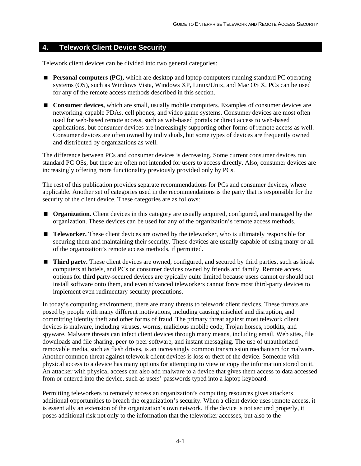#### <span id="page-28-0"></span>**4. Telework Client Device Security**

Telework client devices can be divided into two general categories:

- **Personal computers (PC),** which are desktop and laptop computers running standard PC operating systems (OS), such as Windows Vista, Windows XP, Linux/Unix, and Mac OS X. PCs can be used for any of the remote access methods described in this section.
- **Consumer devices,** which are small, usually mobile computers. Examples of consumer devices are networking-capable PDAs, cell phones, and video game systems. Consumer devices are most often used for web-based remote access, such as web-based portals or direct access to web-based applications, but consumer devices are increasingly supporting other forms of remote access as well. Consumer devices are often owned by individuals, but some types of devices are frequently owned and distributed by organizations as well.

The difference between PCs and consumer devices is decreasing. Some current consumer devices run standard PC OSs, but these are often not intended for users to access directly. Also, consumer devices are increasingly offering more functionality previously provided only by PCs.

The rest of this publication provides separate recommendations for PCs and consumer devices, where applicable. Another set of categories used in the recommendations is the party that is responsible for the security of the client device. These categories are as follows:

- **Organization.** Client devices in this category are usually acquired, configured, and managed by the organization. These devices can be used for any of the organization's remote access methods.
- **Teleworker.** These client devices are owned by the teleworker, who is ultimately responsible for securing them and maintaining their security. These devices are usually capable of using many or all of the organization's remote access methods, if permitted.
- Third party. These client devices are owned, configured, and secured by third parties, such as kiosk computers at hotels, and PCs or consumer devices owned by friends and family. Remote access options for third party-secured devices are typically quite limited because users cannot or should not install software onto them, and even advanced teleworkers cannot force most third-party devices to implement even rudimentary security precautions.

In today's computing environment, there are many threats to telework client devices. These threats are posed by people with many different motivations, including causing mischief and disruption, and committing identity theft and other forms of fraud. The primary threat against most telework client devices is malware, including viruses, worms, malicious mobile code, Trojan horses, rootkits, and spyware. Malware threats can infect client devices through many means, including email, Web sites, file downloads and file sharing, peer-to-peer software, and instant messaging. The use of unauthorized removable media, such as flash drives, is an increasingly common transmission mechanism for malware. Another common threat against telework client devices is loss or theft of the device. Someone with physical access to a device has many options for attempting to view or copy the information stored on it. An attacker with physical access can also add malware to a device that gives them access to data accessed from or entered into the device, such as users' passwords typed into a laptop keyboard.

Permitting teleworkers to remotely access an organization's computing resources gives attackers additional opportunities to breach the organization's security. When a client device uses remote access, it is essentially an extension of the organization's own network. If the device is not secured properly, it poses additional risk not only to the information that the teleworker accesses, but also to the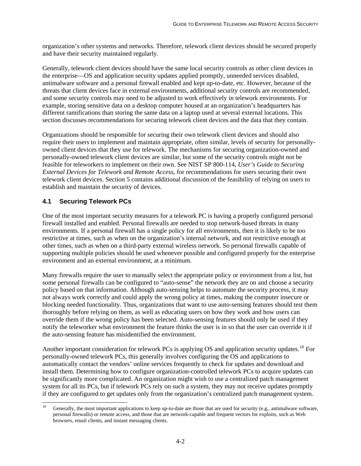<span id="page-29-0"></span>organization's other systems and networks. Therefore, telework client devices should be secured properly and have their security maintained regularly.

Generally, telework client devices should have the same local security controls as other client devices in the enterprise—OS and application security updates applied promptly, unneeded services disabled, antimalware software and a personal firewall enabled and kept up-to-date, etc. However, because of the threats that client devices face in external environments, additional security controls are recommended, and some security controls may need to be adjusted to work effectively in telework environments. For example, storing sensitive data on a desktop computer housed at an organization's headquarters has different ramifications than storing the same data on a laptop used at several external locations. This section discusses recommendations for securing telework client devices and the data that they contain.

Organizations should be responsible for securing their own telework client devices and should also require their users to implement and maintain appropriate, often similar, levels of security for personallyowned client devices that they use for telework. The mechanisms for securing organization-owned and personally-owned telework client devices are similar, but some of the security controls might not be feasible for teleworkers to implement on their own. See NIST SP 800-114, *User's Guide to Securing External Devices for Telework and Remote Access*, for recommendations for users securing their own telework client devices. Section 5 contains additional discussion of the feasibility of relying on users to establish and maintain the security of devices.

#### **4.1 Securing Telework PCs**

One of the most important security measures for a telework PC is having a properly configured personal firewall installed and enabled. Personal firewalls are needed to stop network-based threats in many environments. If a personal firewall has a single policy for all environments, then it is likely to be too restrictive at times, such as when on the organization's internal network, and not restrictive enough at other times, such as when on a third-party external wireless network. So personal firewalls capable of supporting multiple policies should be used whenever possible and configured properly for the enterprise environment and an external environment, at a minimum.

Many firewalls require the user to manually select the appropriate policy or environment from a list, but some personal firewalls can be configured to "auto-sense" the network they are on and choose a security policy based on that information. Although auto-sensing helps to automate the security process, it may not always work correctly and could apply the wrong policy at times, making the computer insecure or blocking needed functionality. Thus, organizations that want to use auto-sensing features should test them thoroughly before relying on them, as well as educating users on how they work and how users can override them if the wrong policy has been selected. Auto-sensing features should only be used if they notify the teleworker what environment the feature thinks the user is in so that the user can override it if the auto-sensing feature has misidentified the environment.

Another important consideration for telework PCs is applying OS and application security updates.<sup>[18](#page-29-1)</sup> For personally-owned telework PCs, this generally involves configuring the OS and applications to automatically contact the vendors' online services frequently to check for updates and download and install them. Determining how to configure organization-controlled telework PCs to acquire updates can be significantly more complicated. An organization might wish to use a centralized patch management system for all its PCs, but if telework PCs rely on such a system, they may not receive updates promptly if they are configured to get updates only from the organization's centralized patch management system.

<span id="page-29-1"></span>l Generally, the most important applications to keep up-to-date are those that are used for security (e.g., antimalware software, personal firewalls) or remote access, and those that are network-capable and frequent vectors for exploits, such as Web browsers, email clients, and instant messaging clients.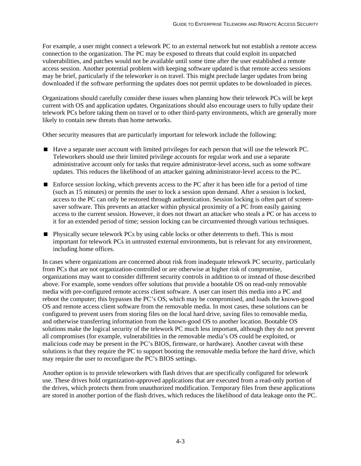For example, a user might connect a telework PC to an external network but not establish a remote access connection to the organization. The PC may be exposed to threats that could exploit its unpatched vulnerabilities, and patches would not be available until some time after the user established a remote access session. Another potential problem with keeping software updated is that remote access sessions may be brief, particularly if the teleworker is on travel. This might preclude larger updates from being downloaded if the software performing the updates does not permit updates to be downloaded in pieces.

Organizations should carefully consider these issues when planning how their telework PCs will be kept current with OS and application updates. Organizations should also encourage users to fully update their telework PCs before taking them on travel or to other third-party environments, which are generally more likely to contain new threats than home networks.

Other security measures that are particularly important for telework include the following:

- Have a separate user account with limited privileges for each person that will use the telework PC. Teleworkers should use their limited privilege accounts for regular work and use a separate administrative account only for tasks that require administrator-level access, such as some software updates. This reduces the likelihood of an attacker gaining administrator-level access to the PC.
- Enforce *session locking*, which prevents access to the PC after it has been idle for a period of time (such as 15 minutes) or permits the user to lock a session upon demand. After a session is locked, access to the PC can only be restored through authentication. Session locking is often part of screensaver software. This prevents an attacker within physical proximity of a PC from easily gaining access to the current session. However, it does not thwart an attacker who steals a PC or has access to it for an extended period of time; session locking can be circumvented through various techniques.
- **Physically secure telework PCs by using cable locks or other deterrents to theft. This is most** important for telework PCs in untrusted external environments, but is relevant for any environment, including home offices.

In cases where organizations are concerned about risk from inadequate telework PC security, particularly from PCs that are not organization-controlled or are otherwise at higher risk of compromise, organizations may want to consider different security controls in addition to or instead of those described above. For example, some vendors offer solutions that provide a bootable OS on read-only removable media with pre-configured remote access client software. A user can insert this media into a PC and reboot the computer; this bypasses the PC's OS, which may be compromised, and loads the known-good OS and remote access client software from the removable media. In most cases, these solutions can be configured to prevent users from storing files on the local hard drive, saving files to removable media, and otherwise transferring information from the known-good OS to another location. Bootable OS solutions make the logical security of the telework PC much less important, although they do not prevent all compromises (for example, vulnerabilities in the removable media's OS could be exploited, or malicious code may be present in the PC's BIOS, firmware, or hardware). Another caveat with these solutions is that they require the PC to support booting the removable media before the hard drive, which may require the user to reconfigure the PC's BIOS settings.

Another option is to provide teleworkers with flash drives that are specifically configured for telework use. These drives hold organization-approved applications that are executed from a read-only portion of the drives, which protects them from unauthorized modification. Temporary files from these applications are stored in another portion of the flash drives, which reduces the likelihood of data leakage onto the PC.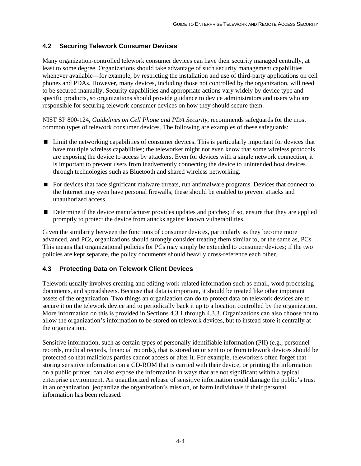#### <span id="page-31-0"></span>**4.2 Securing Telework Consumer Devices**

Many organization-controlled telework consumer devices can have their security managed centrally, at least to some degree. Organizations should take advantage of such security management capabilities whenever available—for example, by restricting the installation and use of third-party applications on cell phones and PDAs. However, many devices, including those not controlled by the organization, will need to be secured manually. Security capabilities and appropriate actions vary widely by device type and specific products, so organizations should provide guidance to device administrators and users who are responsible for securing telework consumer devices on how they should secure them.

NIST SP 800-124, *Guidelines on Cell Phone and PDA Security*, recommends safeguards for the most common types of telework consumer devices. The following are examples of these safeguards:

- Limit the networking capabilities of consumer devices. This is particularly important for devices that have multiple wireless capabilities; the teleworker might not even know that some wireless protocols are exposing the device to access by attackers. Even for devices with a single network connection, it is important to prevent users from inadvertently connecting the device to unintended host devices through technologies such as Bluetooth and shared wireless networking.
- For devices that face significant malware threats, run antimalware programs. Devices that connect to the Internet may even have personal firewalls; these should be enabled to prevent attacks and unauthorized access.
- Determine if the device manufacturer provides updates and patches; if so, ensure that they are applied promptly to protect the device from attacks against known vulnerabilities.

Given the similarity between the functions of consumer devices, particularly as they become more advanced, and PCs, organizations should strongly consider treating them similar to, or the same as, PCs. This means that organizational policies for PCs may simply be extended to consumer devices; if the two policies are kept separate, the policy documents should heavily cross-reference each other.

#### **4.3 Protecting Data on Telework Client Devices**

Telework usually involves creating and editing work-related information such as email, word processing documents, and spreadsheets. Because that data is important, it should be treated like other important assets of the organization. Two things an organization can do to protect data on telework devices are to secure it on the telework device and to periodically back it up to a location controlled by the organization. More information on this is provided in Sections 4.3.1 through 4.3.3. Organizations can also choose not to allow the organization's information to be stored on telework devices, but to instead store it centrally at the organization.

Sensitive information, such as certain types of personally identifiable information (PII) (e.g., personnel records, medical records, financial records), that is stored on or sent to or from telework devices should be protected so that malicious parties cannot access or alter it. For example, teleworkers often forget that storing sensitive information on a CD-ROM that is carried with their device, or printing the information on a public printer, can also expose the information in ways that are not significant within a typical enterprise environment. An unauthorized release of sensitive information could damage the public's trust in an organization, jeopardize the organization's mission, or harm individuals if their personal information has been released.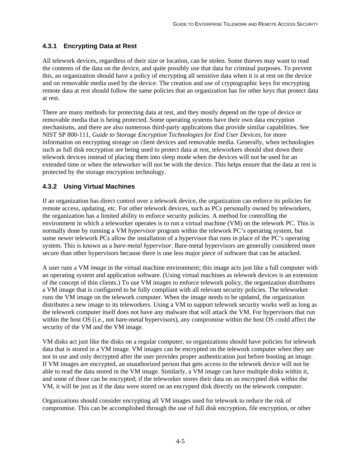#### <span id="page-32-0"></span>**4.3.1 Encrypting Data at Rest**

All telework devices, regardless of their size or location, can be stolen. Some thieves may want to read the contents of the data on the device, and quite possibly use that data for criminal purposes. To prevent this, an organization should have a policy of encrypting all sensitive data when it is at rest on the device and on removable media used by the device. The creation and use of cryptographic keys for encrypting remote data at rest should follow the same policies that an organization has for other keys that protect data at rest.

There are many methods for protecting data at rest, and they mostly depend on the type of device or removable media that is being protected. Some operating systems have their own data encryption mechanisms, and there are also numerous third-party applications that provide similar capabilities. See NIST SP 800-111, *Guide to Storage Encryption Technologies for End User Devices*, for more information on encrypting storage on client devices and removable media. Generally, when technologies such as full disk encryption are being used to protect data at rest, teleworkers should shut down their telework devices instead of placing them into sleep mode when the devices will not be used for an extended time or when the teleworker will not be with the device. This helps ensure that the data at rest is protected by the storage encryption technology.

#### **4.3.2 Using Virtual Machines**

If an organization has direct control over a telework device, the organization can enforce its policies for remote access, updating, etc. For other telework devices, such as PCs personally owned by teleworkers, the organization has a limited ability to enforce security policies. A method for controlling the environment in which a teleworker operates is to run a virtual machine (VM) on the telework PC. This is normally done by running a VM *hypervisor* program within the telework PC's operating system, but some newer telework PCs allow the installation of a hypervisor that runs in place of the PC's operating system. This is known as a *bare-metal hypervisor*. Bare-metal hypervisors are generally considered more secure than other hypervisors because there is one less major piece of software that can be attacked.

A user runs a VM *image* in the virtual machine environment; this image acts just like a full computer with an operating system and application software. (Using virtual machines as telework devices is an extension of the concept of thin clients.) To use VM images to enforce telework policy, the organization distributes a VM image that is configured to be fully compliant with all relevant security policies. The teleworker runs the VM image on the telework computer. When the image needs to be updated, the organization distributes a new image to its teleworkers. Using a VM to support telework security works well as long as the telework computer itself does not have any malware that will attack the VM. For hypervisors that run within the host OS (i.e., not bare-metal hypervisors), any compromise within the host OS could affect the security of the VM and the VM image.

VM disks act just like the disks on a regular computer, so organizations should have policies for telework data that is stored in a VM image. VM images can be encrypted on the telework computer when they are not in use and only decrypted after the user provides proper authentication just before booting an image. If VM images are encrypted, an unauthorized person that gets access to the telework device will not be able to read the data stored in the VM image. Similarly, a VM image can have multiple disks within it, and some of those can be encrypted; if the teleworker stores their data on an encrypted disk within the VM, it will be just as if the data were stored on an encrypted disk directly on the telework computer.

Organizations should consider encrypting all VM images used for telework to reduce the risk of compromise. This can be accomplished through the use of full disk encryption, file encryption, or other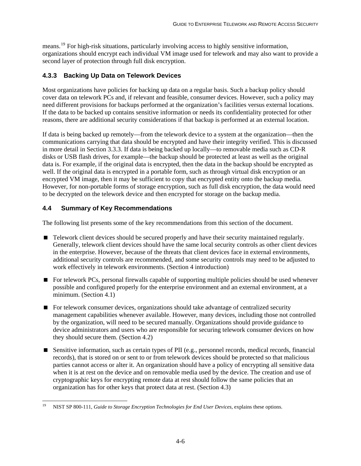<span id="page-33-0"></span>means.[19](#page-33-1) For high-risk situations, particularly involving access to highly sensitive information, organizations should encrypt each individual VM image used for telework and may also want to provide a second layer of protection through full disk encryption.

#### **4.3.3 Backing Up Data on Telework Devices**

Most organizations have policies for backing up data on a regular basis. Such a backup policy should cover data on telework PCs and, if relevant and feasible, consumer devices. However, such a policy may need different provisions for backups performed at the organization's facilities versus external locations. If the data to be backed up contains sensitive information or needs its confidentiality protected for other reasons, there are additional security considerations if that backup is performed at an external location.

If data is being backed up remotely—from the telework device to a system at the organization—then the communications carrying that data should be encrypted and have their integrity verified. This is discussed in more detail in Section 3.3.3. If data is being backed up locally—to removable media such as CD-R disks or USB flash drives, for example—the backup should be protected at least as well as the original data is. For example, if the original data is encrypted, then the data in the backup should be encrypted as well. If the original data is encrypted in a portable form, such as through virtual disk encryption or an encrypted VM image, then it may be sufficient to copy that encrypted entity onto the backup media. However, for non-portable forms of storage encryption, such as full disk encryption, the data would need to be decrypted on the telework device and then encrypted for storage on the backup media.

#### **4.4 Summary of Key Recommendations**

The following list presents some of the key recommendations from this section of the document.

- Telework client devices should be secured properly and have their security maintained regularly. Generally, telework client devices should have the same local security controls as other client devices in the enterprise. However, because of the threats that client devices face in external environments, additional security controls are recommended, and some security controls may need to be adjusted to work effectively in telework environments. (Section 4 introduction)
- **For telework PCs, personal firewalls capable of supporting multiple policies should be used whenever** possible and configured properly for the enterprise environment and an external environment, at a minimum. (Section 4.1)
- For telework consumer devices, organizations should take advantage of centralized security management capabilities whenever available. However, many devices, including those not controlled by the organization, will need to be secured manually. Organizations should provide guidance to device administrators and users who are responsible for securing telework consumer devices on how they should secure them. (Section 4.2)
- Sensitive information, such as certain types of PII (e.g., personnel records, medical records, financial records), that is stored on or sent to or from telework devices should be protected so that malicious parties cannot access or alter it. An organization should have a policy of encrypting all sensitive data when it is at rest on the device and on removable media used by the device. The creation and use of cryptographic keys for encrypting remote data at rest should follow the same policies that an organization has for other keys that protect data at rest. (Section 4.3)

<span id="page-33-1"></span>l 19 NIST SP 800-111, *Guide to Storage Encryption Technologies for End User Devices*, explains these options.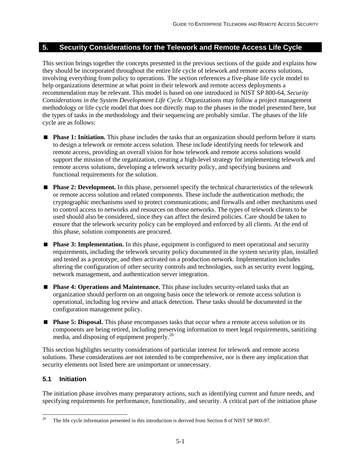#### <span id="page-34-0"></span>**5. Security Considerations for the Telework and Remote Access Life Cycle**

This section brings together the concepts presented in the previous sections of the guide and explains how they should be incorporated throughout the entire life cycle of telework and remote access solutions, involving everything from policy to operations. The section references a five-phase life cycle model to help organizations determine at what point in their telework and remote access deployments a recommendation may be relevant. This model is based on one introduced in NIST SP 800-64, *Security Considerations in the System Development Life Cycle*. Organizations may follow a project management methodology or life cycle model that does not directly map to the phases in the model presented here, but the types of tasks in the methodology and their sequencing are probably similar. The phases of the life cycle are as follows:

- **Phase 1: Initiation.** This phase includes the tasks that an organization should perform before it starts to design a telework or remote access solution. These include identifying needs for telework and remote access, providing an overall vision for how telework and remote access solutions would support the mission of the organization, creating a high-level strategy for implementing telework and remote access solutions, developing a telework security policy, and specifying business and functional requirements for the solution.
- **Phase 2: Development.** In this phase, personnel specify the technical characteristics of the telework or remote access solution and related components. These include the authentication methods; the cryptographic mechanisms used to protect communications; and firewalls and other mechanisms used to control access to networks and resources on those networks. The types of telework clients to be used should also be considered, since they can affect the desired policies. Care should be taken to ensure that the telework security policy can be employed and enforced by all clients. At the end of this phase, solution components are procured.
- **Phase 3: Implementation.** In this phase, equipment is configured to meet operational and security requirements, including the telework security policy documented in the system security plan, installed and tested as a prototype, and then activated on a production network. Implementation includes altering the configuration of other security controls and technologies, such as security event logging, network management, and authentication server integration.
- **Phase 4: Operations and Maintenance.** This phase includes security-related tasks that an organization should perform on an ongoing basis once the telework or remote access solution is operational, including log review and attack detection. These tasks should be documented in the configuration management policy.
- **Phase 5: Disposal.** This phase encompasses tasks that occur when a remote access solution or its components are being retired, including preserving information to meet legal requirements, sanitizing media, and disposing of equipment properly.[20](#page-34-1)

This section highlights security considerations of particular interest for telework and remote access solutions. These considerations are not intended to be comprehensive, nor is there any implication that security elements not listed here are unimportant or unnecessary.

#### **5.1 Initiation**

The initiation phase involves many preparatory actions, such as identifying current and future needs, and specifying requirements for performance, functionality, and security. A critical part of the initiation phase

<span id="page-34-1"></span> $20\,$ The life cycle information presented in this introduction is derived from Section 8 of NIST SP 800-97.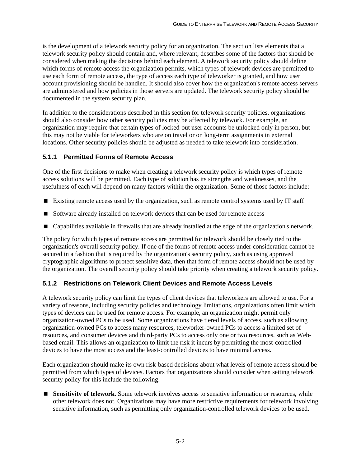<span id="page-35-0"></span>is the development of a telework security policy for an organization. The section lists elements that a telework security policy should contain and, where relevant, describes some of the factors that should be considered when making the decisions behind each element. A telework security policy should define which forms of remote access the organization permits, which types of telework devices are permitted to use each form of remote access, the type of access each type of teleworker is granted, and how user account provisioning should be handled. It should also cover how the organization's remote access servers are administered and how policies in those servers are updated. The telework security policy should be documented in the system security plan.

In addition to the considerations described in this section for telework security policies, organizations should also consider how other security policies may be affected by telework. For example, an organization may require that certain types of locked-out user accounts be unlocked only in person, but this may not be viable for teleworkers who are on travel or on long-term assignments in external locations. Other security policies should be adjusted as needed to take telework into consideration.

#### **5.1.1 Permitted Forms of Remote Access**

One of the first decisions to make when creating a telework security policy is which types of remote access solutions will be permitted. Each type of solution has its strengths and weaknesses, and the usefulness of each will depend on many factors within the organization. Some of those factors include:

- Existing remote access used by the organization, such as remote control systems used by IT staff
- Software already installed on telework devices that can be used for remote access
- Capabilities available in firewalls that are already installed at the edge of the organization's network.

The policy for which types of remote access are permitted for telework should be closely tied to the organization's overall security policy. If one of the forms of remote access under consideration cannot be secured in a fashion that is required by the organization's security policy, such as using approved cryptographic algorithms to protect sensitive data, then that form of remote access should not be used by the organization. The overall security policy should take priority when creating a telework security policy.

#### **5.1.2 Restrictions on Telework Client Devices and Remote Access Levels**

A telework security policy can limit the types of client devices that teleworkers are allowed to use. For a variety of reasons, including security policies and technology limitations, organizations often limit which types of devices can be used for remote access. For example, an organization might permit only organization-owned PCs to be used. Some organizations have tiered levels of access, such as allowing organization-owned PCs to access many resources, teleworker-owned PCs to access a limited set of resources, and consumer devices and third-party PCs to access only one or two resources, such as Webbased email. This allows an organization to limit the risk it incurs by permitting the most-controlled devices to have the most access and the least-controlled devices to have minimal access.

Each organization should make its own risk-based decisions about what levels of remote access should be permitted from which types of devices. Factors that organizations should consider when setting telework security policy for this include the following:

**Sensitivity of telework.** Some telework involves access to sensitive information or resources, while other telework does not. Organizations may have more restrictive requirements for telework involving sensitive information, such as permitting only organization-controlled telework devices to be used.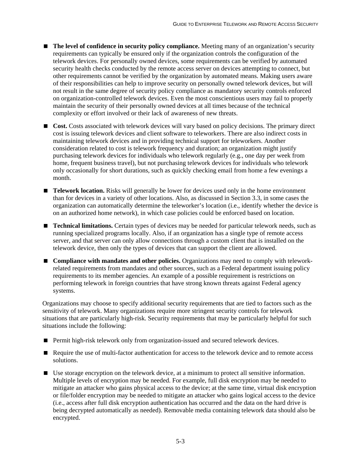- **The level of confidence in security policy compliance.** Meeting many of an organization's security requirements can typically be ensured only if the organization controls the configuration of the telework devices. For personally owned devices, some requirements can be verified by automated security health checks conducted by the remote access server on devices attempting to connect, but other requirements cannot be verified by the organization by automated means. Making users aware of their responsibilities can help to improve security on personally owned telework devices, but will not result in the same degree of security policy compliance as mandatory security controls enforced on organization-controlled telework devices. Even the most conscientious users may fail to properly maintain the security of their personally owned devices at all times because of the technical complexity or effort involved or their lack of awareness of new threats.
- Cost. Costs associated with telework devices will vary based on policy decisions. The primary direct cost is issuing telework devices and client software to teleworkers. There are also indirect costs in maintaining telework devices and in providing technical support for teleworkers. Another consideration related to cost is telework frequency and duration; an organization might justify purchasing telework devices for individuals who telework regularly (e.g., one day per week from home, frequent business travel), but not purchasing telework devices for individuals who telework only occasionally for short durations, such as quickly checking email from home a few evenings a month.
- **Telework location.** Risks will generally be lower for devices used only in the home environment than for devices in a variety of other locations. Also, as discussed in Section 3.3, in some cases the organization can automatically determine the teleworker's location (i.e., identify whether the device is on an authorized home network), in which case policies could be enforced based on location.
- **Technical limitations.** Certain types of devices may be needed for particular telework needs, such as running specialized programs locally. Also, if an organization has a single type of remote access server, and that server can only allow connections through a custom client that is installed on the telework device, then only the types of devices that can support the client are allowed.
- **Compliance with mandates and other policies.** Organizations may need to comply with teleworkrelated requirements from mandates and other sources, such as a Federal department issuing policy requirements to its member agencies. An example of a possible requirement is restrictions on performing telework in foreign countries that have strong known threats against Federal agency systems.

Organizations may choose to specify additional security requirements that are tied to factors such as the sensitivity of telework. Many organizations require more stringent security controls for telework situations that are particularly high-risk. Security requirements that may be particularly helpful for such situations include the following:

- **Permit high-risk telework only from organization-issued and secured telework devices.**
- Require the use of multi-factor authentication for access to the telework device and to remote access solutions.
- Use storage encryption on the telework device, at a minimum to protect all sensitive information. Multiple levels of encryption may be needed. For example, full disk encryption may be needed to mitigate an attacker who gains physical access to the device; at the same time, virtual disk encryption or file/folder encryption may be needed to mitigate an attacker who gains logical access to the device (i.e., access after full disk encryption authentication has occurred and the data on the hard drive is being decrypted automatically as needed). Removable media containing telework data should also be encrypted.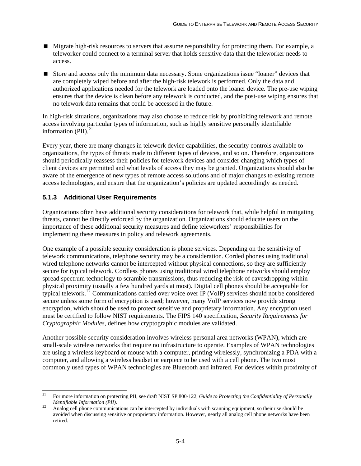- <span id="page-37-0"></span> Migrate high-risk resources to servers that assume responsibility for protecting them. For example, a teleworker could connect to a terminal server that holds sensitive data that the teleworker needs to access.
- Store and access only the minimum data necessary. Some organizations issue "loaner" devices that are completely wiped before and after the high-risk telework is performed. Only the data and authorized applications needed for the telework are loaded onto the loaner device. The pre-use wiping ensures that the device is clean before any telework is conducted, and the post-use wiping ensures that no telework data remains that could be accessed in the future.

In high-risk situations, organizations may also choose to reduce risk by prohibiting telework and remote access involving particular types of information, such as highly sensitive personally identifiable information  $(PII)^{21}$  $(PII)^{21}$  $(PII)^{21}$ 

Every year, there are many changes in telework device capabilities, the security controls available to organizations, the types of threats made to different types of devices, and so on. Therefore, organizations should periodically reassess their policies for telework devices and consider changing which types of client devices are permitted and what levels of access they may be granted. Organizations should also be aware of the emergence of new types of remote access solutions and of major changes to existing remote access technologies, and ensure that the organization's policies are updated accordingly as needed.

#### **5.1.3 Additional User Requirements**

Organizations often have additional security considerations for telework that, while helpful in mitigating threats, cannot be directly enforced by the organization. Organizations should educate users on the importance of these additional security measures and define teleworkers' responsibilities for implementing these measures in policy and telework agreements.

One example of a possible security consideration is phone services. Depending on the sensitivity of telework communications, telephone security may be a consideration. Corded phones using traditional wired telephone networks cannot be intercepted without physical connections, so they are sufficiently secure for typical telework. Cordless phones using traditional wired telephone networks should employ spread spectrum technology to scramble transmissions, thus reducing the risk of eavesdropping within physical proximity (usually a few hundred yards at most). Digital cell phones should be acceptable for typical telework.[22](#page-37-2) Communications carried over voice over IP (VoIP) services should not be considered secure unless some form of encryption is used; however, many VoIP services now provide strong encryption, which should be used to protect sensitive and proprietary information. Any encryption used must be certified to follow NIST requirements. The FIPS 140 specification, *Security Requirements for Cryptographic Modules*, defines how cryptographic modules are validated.

Another possible security consideration involves wireless personal area networks (WPAN), which are small-scale wireless networks that require no infrastructure to operate. Examples of WPAN technologies are using a wireless keyboard or mouse with a computer, printing wirelessly, synchronizing a PDA with a computer, and allowing a wireless headset or earpiece to be used with a cell phone. The two most commonly used types of WPAN technologies are Bluetooth and infrared. For devices within proximity of

<span id="page-37-1"></span><sup>21</sup> 21 For more information on protecting PII, see draft NIST SP 800-122, *Guide to Protecting the Confidentiality of Personally* 

<span id="page-37-2"></span>*Identifiable Information (PII)*.<br><sup>22</sup> Analog cell phone communications can be intercepted by individuals with scanning equipment, so their use should be avoided when discussing sensitive or proprietary information. However, nearly all analog cell phone networks have been retired.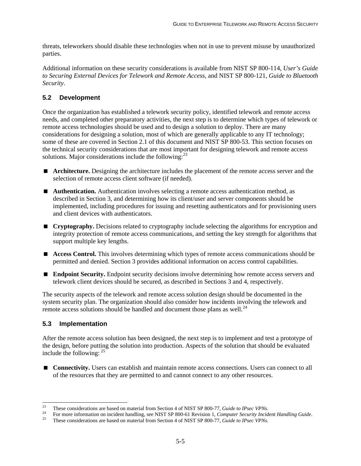<span id="page-38-0"></span>threats, teleworkers should disable these technologies when not in use to prevent misuse by unauthorized parties.

Additional information on these security considerations is available from NIST SP 800-114, *User's Guide to Securing External Devices for Telework and Remote Access*, and NIST SP 800-121, *Guide to Bluetooth Security*.

#### **5.2 Development**

Once the organization has established a telework security policy, identified telework and remote access needs, and completed other preparatory activities, the next step is to determine which types of telework or remote access technologies should be used and to design a solution to deploy. There are many considerations for designing a solution, most of which are generally applicable to any IT technology; some of these are covered in Section 2.1 of this document and NIST SP 800-53. This section focuses on the technical security considerations that are most important for designing telework and remote access solutions. Major considerations include the following: $^{23}$  $^{23}$  $^{23}$ 

- **Architecture.** Designing the architecture includes the placement of the remote access server and the selection of remote access client software (if needed).
- **Authentication.** Authentication involves selecting a remote access authentication method, as described in Section 3, and determining how its client/user and server components should be implemented, including procedures for issuing and resetting authenticators and for provisioning users and client devices with authenticators.
- **Cryptography.** Decisions related to cryptography include selecting the algorithms for encryption and integrity protection of remote access communications, and setting the key strength for algorithms that support multiple key lengths.
- **Access Control.** This involves determining which types of remote access communications should be permitted and denied. Section 3 provides additional information on access control capabilities.
- **Endpoint Security.** Endpoint security decisions involve determining how remote access servers and telework client devices should be secured, as described in Sections 3 and 4, respectively.

The security aspects of the telework and remote access solution design should be documented in the system security plan. The organization should also consider how incidents involving the telework and remote access solutions should be handled and document those plans as well.<sup>[24](#page-38-2)</sup>

#### **5.3 Implementation**

After the remote access solution has been designed, the next step is to implement and test a prototype of the design, before putting the solution into production. Aspects of the solution that should be evaluated include the following: [25](#page-38-3)

**Connectivity.** Users can establish and maintain remote access connections. Users can connect to all of the resources that they are permitted to and cannot connect to any other resources.

 $23$ 

<span id="page-38-2"></span><span id="page-38-1"></span><sup>&</sup>lt;sup>23</sup> These considerations are based on material from Section 4 of NIST SP 800-77, *Guide to IPsec VPNs*.<br><sup>24</sup> For more information on incident handling, see NIST SP 800-61 Revision 1, *Computer Security Incident Handling* 

<span id="page-38-3"></span>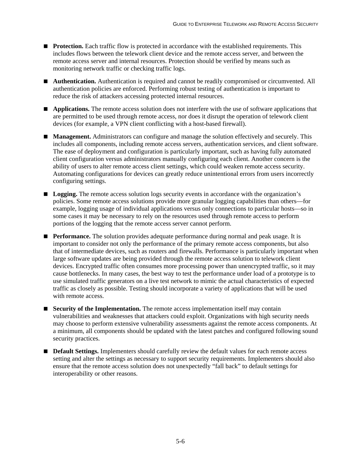- **Protection.** Each traffic flow is protected in accordance with the established requirements. This includes flows between the telework client device and the remote access server, and between the remote access server and internal resources. Protection should be verified by means such as monitoring network traffic or checking traffic logs.
- **Authentication.** Authentication is required and cannot be readily compromised or circumvented. All authentication policies are enforced. Performing robust testing of authentication is important to reduce the risk of attackers accessing protected internal resources.
- **Applications.** The remote access solution does not interfere with the use of software applications that are permitted to be used through remote access, nor does it disrupt the operation of telework client devices (for example, a VPN client conflicting with a host-based firewall).
- **Management.** Administrators can configure and manage the solution effectively and securely. This includes all components, including remote access servers, authentication services, and client software. The ease of deployment and configuration is particularly important, such as having fully automated client configuration versus administrators manually configuring each client. Another concern is the ability of users to alter remote access client settings, which could weaken remote access security. Automating configurations for devices can greatly reduce unintentional errors from users incorrectly configuring settings.
- **Logging.** The remote access solution logs security events in accordance with the organization's policies. Some remote access solutions provide more granular logging capabilities than others—for example, logging usage of individual applications versus only connections to particular hosts—so in some cases it may be necessary to rely on the resources used through remote access to perform portions of the logging that the remote access server cannot perform.
- **Performance.** The solution provides adequate performance during normal and peak usage. It is important to consider not only the performance of the primary remote access components, but also that of intermediate devices, such as routers and firewalls. Performance is particularly important when large software updates are being provided through the remote access solution to telework client devices. Encrypted traffic often consumes more processing power than unencrypted traffic, so it may cause bottlenecks. In many cases, the best way to test the performance under load of a prototype is to use simulated traffic generators on a live test network to mimic the actual characteristics of expected traffic as closely as possible. Testing should incorporate a variety of applications that will be used with remote access.
- **Security of the Implementation.** The remote access implementation itself may contain vulnerabilities and weaknesses that attackers could exploit. Organizations with high security needs may choose to perform extensive vulnerability assessments against the remote access components. At a minimum, all components should be updated with the latest patches and configured following sound security practices.
- **Default Settings.** Implementers should carefully review the default values for each remote access setting and alter the settings as necessary to support security requirements. Implementers should also ensure that the remote access solution does not unexpectedly "fall back" to default settings for interoperability or other reasons.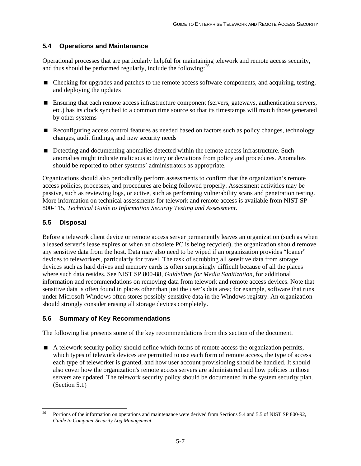#### <span id="page-40-0"></span>**5.4 Operations and Maintenance**

Operational processes that are particularly helpful for maintaining telework and remote access security, and thus should be performed regularly, include the following:  $^{26}$  $^{26}$  $^{26}$ 

- Checking for upgrades and patches to the remote access software components, and acquiring, testing, and deploying the updates
- Ensuring that each remote access infrastructure component (servers, gateways, authentication servers, etc.) has its clock synched to a common time source so that its timestamps will match those generated by other systems
- Reconfiguring access control features as needed based on factors such as policy changes, technology changes, audit findings, and new security needs
- Detecting and documenting anomalies detected within the remote access infrastructure. Such anomalies might indicate malicious activity or deviations from policy and procedures. Anomalies should be reported to other systems' administrators as appropriate.

Organizations should also periodically perform assessments to confirm that the organization's remote access policies, processes, and procedures are being followed properly. Assessment activities may be passive, such as reviewing logs, or active, such as performing vulnerability scans and penetration testing. More information on technical assessments for telework and remote access is available from NIST SP 800-115, *Technical Guide to Information Security Testing and Assessment*.

#### **5.5 Disposal**

Before a telework client device or remote access server permanently leaves an organization (such as when a leased server's lease expires or when an obsolete PC is being recycled), the organization should remove any sensitive data from the host. Data may also need to be wiped if an organization provides "loaner" devices to teleworkers, particularly for travel. The task of scrubbing all sensitive data from storage devices such as hard drives and memory cards is often surprisingly difficult because of all the places where such data resides. See NIST SP 800-88, *Guidelines for Media Sanitization*, for additional information and recommendations on removing data from telework and remote access devices. Note that sensitive data is often found in places other than just the user's data area; for example, software that runs under Microsoft Windows often stores possibly-sensitive data in the Windows registry. An organization should strongly consider erasing all storage devices completely.

#### **5.6 Summary of Key Recommendations**

The following list presents some of the key recommendations from this section of the document.

A telework security policy should define which forms of remote access the organization permits, which types of telework devices are permitted to use each form of remote access, the type of access each type of teleworker is granted, and how user account provisioning should be handled. It should also cover how the organization's remote access servers are administered and how policies in those servers are updated. The telework security policy should be documented in the system security plan. (Section 5.1)

<span id="page-40-1"></span><sup>26</sup> 26 Portions of the information on operations and maintenance were derived from Sections 5.4 and 5.5 of NIST SP 800-92, *Guide to Computer Security Log Management*.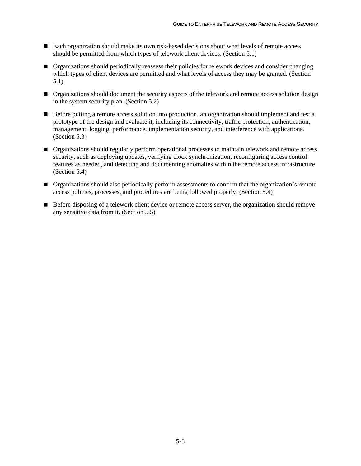- Each organization should make its own risk-based decisions about what levels of remote access should be permitted from which types of telework client devices. (Section 5.1)
- Organizations should periodically reassess their policies for telework devices and consider changing which types of client devices are permitted and what levels of access they may be granted. (Section 5.1)
- **Organizations should document the security aspects of the telework and remote access solution design** in the system security plan. (Section 5.2)
- Before putting a remote access solution into production, an organization should implement and test a prototype of the design and evaluate it, including its connectivity, traffic protection, authentication, management, logging, performance, implementation security, and interference with applications. (Section 5.3)
- **Organizations should regularly perform operational processes to maintain telework and remote access** security, such as deploying updates, verifying clock synchronization, reconfiguring access control features as needed, and detecting and documenting anomalies within the remote access infrastructure. (Section 5.4)
- **Organizations should also periodically perform assessments to confirm that the organization's remote** access policies, processes, and procedures are being followed properly. (Section 5.4)
- Before disposing of a telework client device or remote access server, the organization should remove any sensitive data from it. (Section 5.5)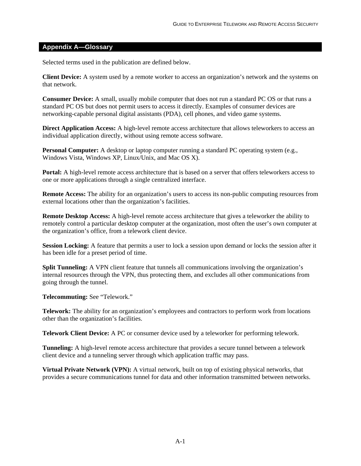#### <span id="page-42-0"></span>**Appendix A—Glossary**

Selected terms used in the publication are defined below.

**Client Device:** A system used by a remote worker to access an organization's network and the systems on that network.

**Consumer Device:** A small, usually mobile computer that does not run a standard PC OS or that runs a standard PC OS but does not permit users to access it directly. Examples of consumer devices are networking-capable personal digital assistants (PDA), cell phones, and video game systems.

**Direct Application Access:** A high-level remote access architecture that allows teleworkers to access an individual application directly, without using remote access software.

**Personal Computer:** A desktop or laptop computer running a standard PC operating system (e.g., Windows Vista, Windows XP, Linux/Unix, and Mac OS X).

**Portal:** A high-level remote access architecture that is based on a server that offers teleworkers access to one or more applications through a single centralized interface.

**Remote Access:** The ability for an organization's users to access its non-public computing resources from external locations other than the organization's facilities.

**Remote Desktop Access:** A high-level remote access architecture that gives a teleworker the ability to remotely control a particular desktop computer at the organization, most often the user's own computer at the organization's office, from a telework client device.

**Session Locking:** A feature that permits a user to lock a session upon demand or locks the session after it has been idle for a preset period of time.

**Split Tunneling:** A VPN client feature that tunnels all communications involving the organization's internal resources through the VPN, thus protecting them, and excludes all other communications from going through the tunnel.

**Telecommuting:** See "Telework."

**Telework:** The ability for an organization's employees and contractors to perform work from locations other than the organization's facilities.

**Telework Client Device:** A PC or consumer device used by a teleworker for performing telework.

**Tunneling:** A high-level remote access architecture that provides a secure tunnel between a telework client device and a tunneling server through which application traffic may pass.

**Virtual Private Network (VPN):** A virtual network, built on top of existing physical networks, that provides a secure communications tunnel for data and other information transmitted between networks.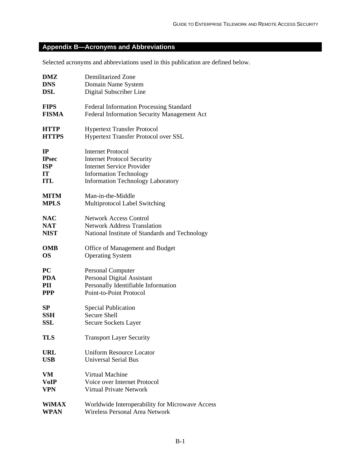# <span id="page-43-0"></span>**Appendix B—Acronyms and Abbreviations**

Selected acronyms and abbreviations used in this publication are defined below.

| <b>DMZ</b>   | <b>Demilitarized Zone</b>                       |
|--------------|-------------------------------------------------|
| <b>DNS</b>   | Domain Name System                              |
| <b>DSL</b>   | Digital Subscriber Line                         |
| <b>FIPS</b>  | <b>Federal Information Processing Standard</b>  |
| <b>FISMA</b> | Federal Information Security Management Act     |
| <b>HTTP</b>  | Hypertext Transfer Protocol                     |
| <b>HTTPS</b> | Hypertext Transfer Protocol over SSL            |
| $_{\rm IP}$  | <b>Internet Protocol</b>                        |
| <b>IPsec</b> | <b>Internet Protocol Security</b>               |
| <b>ISP</b>   | <b>Internet Service Provider</b>                |
| IT           | <b>Information Technology</b>                   |
| <b>ITL</b>   | <b>Information Technology Laboratory</b>        |
| <b>MITM</b>  | Man-in-the-Middle                               |
| <b>MPLS</b>  | Multiprotocol Label Switching                   |
| <b>NAC</b>   | <b>Network Access Control</b>                   |
| <b>NAT</b>   | <b>Network Address Translation</b>              |
| <b>NIST</b>  | National Institute of Standards and Technology  |
| <b>OMB</b>   | Office of Management and Budget                 |
| <b>OS</b>    | <b>Operating System</b>                         |
| <b>PC</b>    | Personal Computer                               |
| <b>PDA</b>   | Personal Digital Assistant                      |
| PII          | Personally Identifiable Information             |
| <b>PPP</b>   | Point-to-Point Protocol                         |
| SP           | <b>Special Publication</b>                      |
| SSH          | <b>Secure Shell</b>                             |
| SSL          | Secure Sockets Layer                            |
| <b>TLS</b>   | <b>Transport Layer Security</b>                 |
| <b>URL</b>   | <b>Uniform Resource Locator</b>                 |
| <b>USB</b>   | <b>Universal Serial Bus</b>                     |
| VM           | Virtual Machine                                 |
| VoIP         | Voice over Internet Protocol                    |
| <b>VPN</b>   | <b>Virtual Private Network</b>                  |
| <b>WiMAX</b> | Worldwide Interoperability for Microwave Access |
| WPAN         | <b>Wireless Personal Area Network</b>           |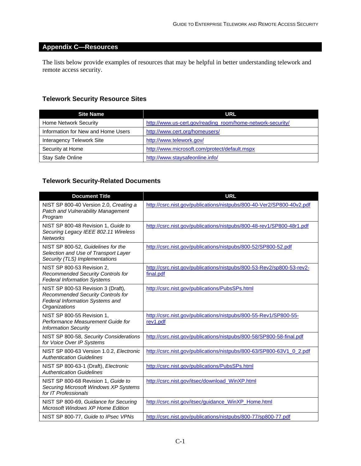### <span id="page-44-0"></span>**Appendix C—Resources**

The lists below provide examples of resources that may be helpful in better understanding telework and remote access security.

#### **Telework Security Resource Sites**

| <b>Site Name</b>                   | URL                                                        |
|------------------------------------|------------------------------------------------------------|
| <b>Home Network Security</b>       | http://www.us-cert.gov/reading_room/home-network-security/ |
| Information for New and Home Users | http://www.cert.org/homeusers/                             |
| <b>Interagency Telework Site</b>   | http://www.telework.gov/                                   |
| Security at Home                   | http://www.microsoft.com/protect/default.mspx              |
| Stay Safe Online                   | http://www.staysafeonline.info/                            |

#### **Telework Security-Related Documents**

| <b>Document Title</b>                                                                                                       | <b>URL</b>                                                                         |
|-----------------------------------------------------------------------------------------------------------------------------|------------------------------------------------------------------------------------|
| NIST SP 800-40 Version 2.0, Creating a<br>Patch and Vulnerability Management<br>Program                                     | http://csrc.nist.gov/publications/nistpubs/800-40-Ver2/SP800-40v2.pdf              |
| NIST SP 800-48 Revision 1, Guide to<br>Securing Legacy IEEE 802.11 Wireless<br><b>Networks</b>                              | http://csrc.nist.gov/publications/nistpubs/800-48-rev1/SP800-48r1.pdf              |
| NIST SP 800-52, Guidelines for the<br>Selection and Use of Transport Layer<br>Security (TLS) Implementations                | http://csrc.nist.gov/publications/nistpubs/800-52/SP800-52.pdf                     |
| NIST SP 800-53 Revision 2,<br><b>Recommended Security Controls for</b><br><b>Federal Information Systems</b>                | http://csrc.nist.gov/publications/nistpubs/800-53-Rev2/sp800-53-rev2-<br>final.pdf |
| NIST SP 800-53 Revision 3 (Draft),<br>Recommended Security Controls for<br>Federal Information Systems and<br>Organizations | http://csrc.nist.gov/publications/PubsSPs.html                                     |
| NIST SP 800-55 Revision 1.<br>Performance Measurement Guide for<br><b>Information Security</b>                              | http://csrc.nist.gov/publications/nistpubs/800-55-Rev1/SP800-55-<br>rev1.pdf       |
| NIST SP 800-58, Security Considerations<br>for Voice Over IP Systems                                                        | http://csrc.nist.gov/publications/nistpubs/800-58/SP800-58-final.pdf               |
| NIST SP 800-63 Version 1.0.2, Electronic<br><b>Authentication Guidelines</b>                                                | http://csrc.nist.gov/publications/nistpubs/800-63/SP800-63V1_0_2.pdf               |
| NIST SP 800-63-1 (Draft), Electronic<br><b>Authentication Guidelines</b>                                                    | http://csrc.nist.gov/publications/PubsSPs.html                                     |
| NIST SP 800-68 Revision 1, Guide to<br>Securing Microsoft Windows XP Systems<br>for IT Professionals                        | http://csrc.nist.gov/itsec/download_WinXP.html                                     |
| NIST SP 800-69, Guidance for Securing<br>Microsoft Windows XP Home Edition                                                  | http://csrc.nist.gov/itsec/guidance_WinXP_Home.html                                |
| NIST SP 800-77, Guide to IPsec VPNs                                                                                         | http://csrc.nist.gov/publications/nistpubs/800-77/sp800-77.pdf                     |